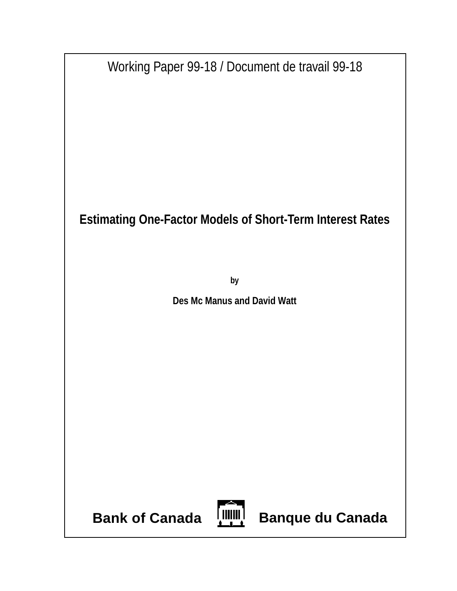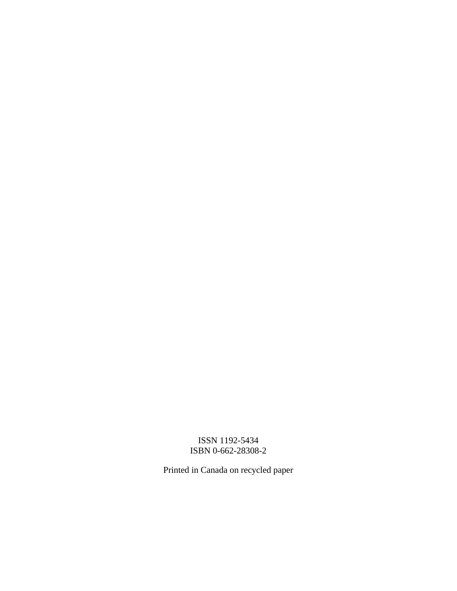## ISSN 1192-5434 ISBN 0-662-28308-2

Printed in Canada on recycled paper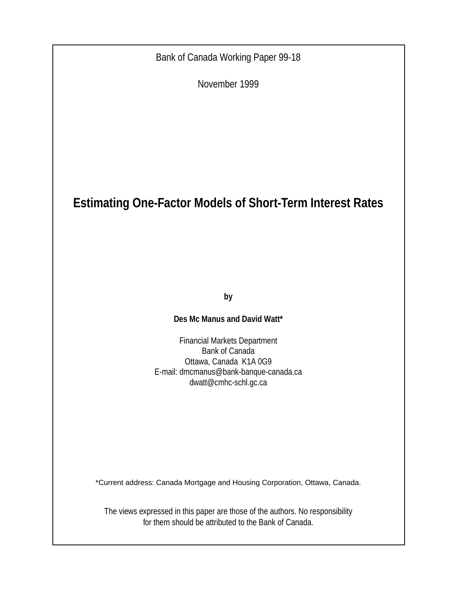Bank of Canada Working Paper 99-18

November 1999

# **Estimating One-Factor Models of Short-Term Interest Rates**

**by**

## **Des Mc Manus and David Watt\***

Financial Markets Department Bank of Canada Ottawa, Canada K1A 0G9 E-mail: dmcmanus@bank-banque-canada.ca dwatt@cmhc-schl.gc.ca

\*Current address: Canada Mortgage and Housing Corporation, Ottawa, Canada.

The views expressed in this paper are those of the authors. No responsibility for them should be attributed to the Bank of Canada.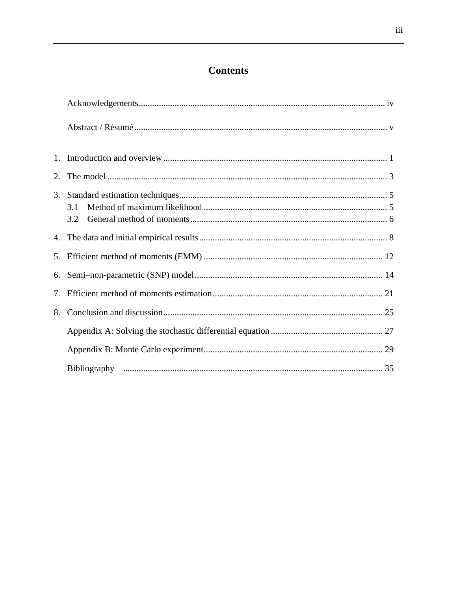# **Contents**

| $1_{-}$ |            |
|---------|------------|
| 2.      |            |
|         | 3.1<br>3.2 |
|         |            |
| 5.      |            |
| 6.      |            |
| 7.      |            |
| 8.      |            |
|         |            |
|         |            |
|         |            |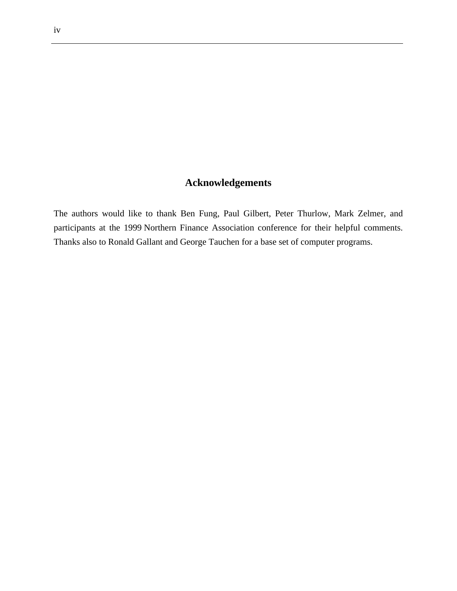## **Acknowledgements**

The authors would like to thank Ben Fung, Paul Gilbert, Peter Thurlow, Mark Zelmer, and participants at the 1999 Northern Finance Association conference for their helpful comments. Thanks also to Ronald Gallant and George Tauchen for a base set of computer programs.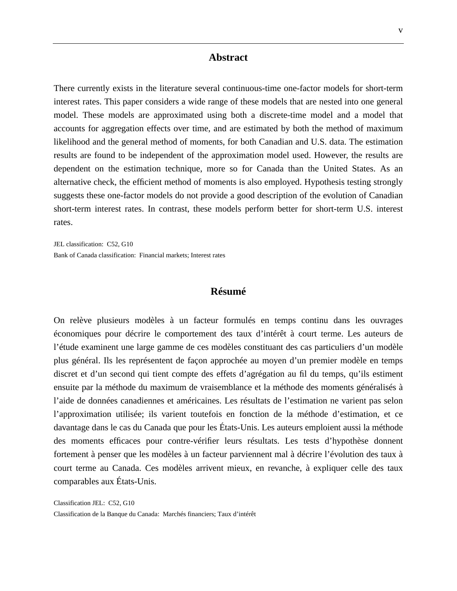#### **Abstract**

There currently exists in the literature several continuous-time one-factor models for short-term interest rates. This paper considers a wide range of these models that are nested into one general model. These models are approximated using both a discrete-time model and a model that accounts for aggregation effects over time, and are estimated by both the method of maximum likelihood and the general method of moments, for both Canadian and U.S. data. The estimation results are found to be independent of the approximation model used. However, the results are dependent on the estimation technique, more so for Canada than the United States. As an alternative check, the efficient method of moments is also employed. Hypothesis testing strongly suggests these one-factor models do not provide a good description of the evolution of Canadian short-term interest rates. In contrast, these models perform better for short-term U.S. interest rates.

JEL classification: C52, G10 Bank of Canada classification: Financial markets; Interest rates

#### **Résumé**

On relève plusieurs modèles à un facteur formulés en temps continu dans les ouvrages économiques pour décrire le comportement des taux d'intérêt à court terme. Les auteurs de l'étude examinent une large gamme de ces modèles constituant des cas particuliers d'un modèle plus général. Ils les représentent de façon approchée au moyen d'un premier modèle en temps discret et d'un second qui tient compte des effets d'agrégation au fil du temps, qu'ils estiment ensuite par la méthode du maximum de vraisemblance et la méthode des moments généralisés à l'aide de données canadiennes et américaines. Les résultats de l'estimation ne varient pas selon l'approximation utilisée; ils varient toutefois en fonction de la méthode d'estimation, et ce davantage dans le cas du Canada que pour les États-Unis. Les auteurs emploient aussi la méthode des moments efficaces pour contre-vérifier leurs résultats. Les tests d'hypothèse donnent fortement à penser que les modèles à un facteur parviennent mal à décrire l'évolution des taux à court terme au Canada. Ces modèles arrivent mieux, en revanche, à expliquer celle des taux comparables aux États-Unis.

Classification JEL: C52, G10 Classification de la Banque du Canada: Marchés financiers; Taux d'intérêt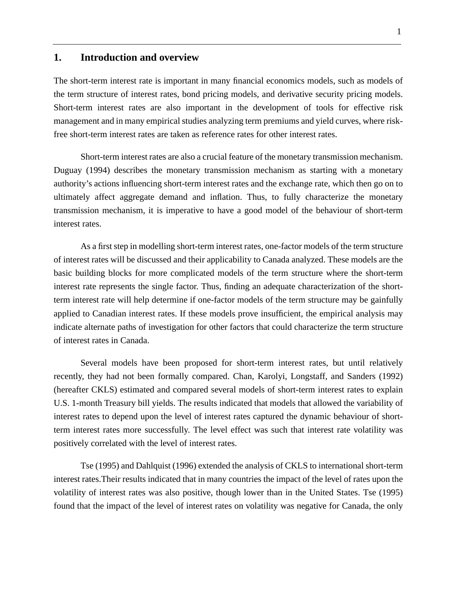### **1. Introduction and overview**

The short-term interest rate is important in many financial economics models, such as models of the term structure of interest rates, bond pricing models, and derivative security pricing models. Short-term interest rates are also important in the development of tools for effective risk management and in many empirical studies analyzing term premiums and yield curves, where riskfree short-term interest rates are taken as reference rates for other interest rates.

Short-term interest rates are also a crucial feature of the monetary transmission mechanism. Duguay (1994) describes the monetary transmission mechanism as starting with a monetary authority's actions influencing short-term interest rates and the exchange rate, which then go on to ultimately affect aggregate demand and inflation. Thus, to fully characterize the monetary transmission mechanism, it is imperative to have a good model of the behaviour of short-term interest rates.

As a first step in modelling short-term interest rates, one-factor models of the term structure of interest rates will be discussed and their applicability to Canada analyzed. These models are the basic building blocks for more complicated models of the term structure where the short-term interest rate represents the single factor. Thus, finding an adequate characterization of the shortterm interest rate will help determine if one-factor models of the term structure may be gainfully applied to Canadian interest rates. If these models prove insufficient, the empirical analysis may indicate alternate paths of investigation for other factors that could characterize the term structure of interest rates in Canada.

Several models have been proposed for short-term interest rates, but until relatively recently, they had not been formally compared. Chan, Karolyi, Longstaff, and Sanders (1992) (hereafter CKLS) estimated and compared several models of short-term interest rates to explain U.S. 1-month Treasury bill yields. The results indicated that models that allowed the variability of interest rates to depend upon the level of interest rates captured the dynamic behaviour of shortterm interest rates more successfully. The level effect was such that interest rate volatility was positively correlated with the level of interest rates.

Tse (1995) and Dahlquist (1996) extended the analysis of CKLS to international short-term interest rates.Their results indicated that in many countries the impact of the level of rates upon the volatility of interest rates was also positive, though lower than in the United States. Tse (1995) found that the impact of the level of interest rates on volatility was negative for Canada, the only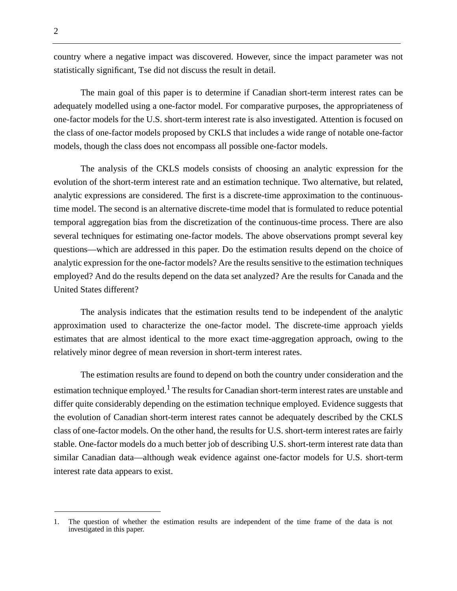country where a negative impact was discovered. However, since the impact parameter was not statistically significant, Tse did not discuss the result in detail.

The main goal of this paper is to determine if Canadian short-term interest rates can be adequately modelled using a one-factor model. For comparative purposes, the appropriateness of one-factor models for the U.S. short-term interest rate is also investigated. Attention is focused on the class of one-factor models proposed by CKLS that includes a wide range of notable one-factor models, though the class does not encompass all possible one-factor models.

The analysis of the CKLS models consists of choosing an analytic expression for the evolution of the short-term interest rate and an estimation technique. Two alternative, but related, analytic expressions are considered. The first is a discrete-time approximation to the continuoustime model. The second is an alternative discrete-time model that is formulated to reduce potential temporal aggregation bias from the discretization of the continuous-time process. There are also several techniques for estimating one-factor models. The above observations prompt several key questions—which are addressed in this paper. Do the estimation results depend on the choice of analytic expression for the one-factor models? Are the results sensitive to the estimation techniques employed? And do the results depend on the data set analyzed? Are the results for Canada and the United States different?

The analysis indicates that the estimation results tend to be independent of the analytic approximation used to characterize the one-factor model. The discrete-time approach yields estimates that are almost identical to the more exact time-aggregation approach, owing to the relatively minor degree of mean reversion in short-term interest rates.

The estimation results are found to depend on both the country under consideration and the estimation technique employed.<sup>1</sup> The results for Canadian short-term interest rates are unstable and differ quite considerably depending on the estimation technique employed. Evidence suggests that the evolution of Canadian short-term interest rates cannot be adequately described by the CKLS class of one-factor models. On the other hand, the results for U.S. short-term interest rates are fairly stable. One-factor models do a much better job of describing U.S. short-term interest rate data than similar Canadian data—although weak evidence against one-factor models for U.S. short-term interest rate data appears to exist.

<sup>1.</sup> The question of whether the estimation results are independent of the time frame of the data is not investigated in this paper.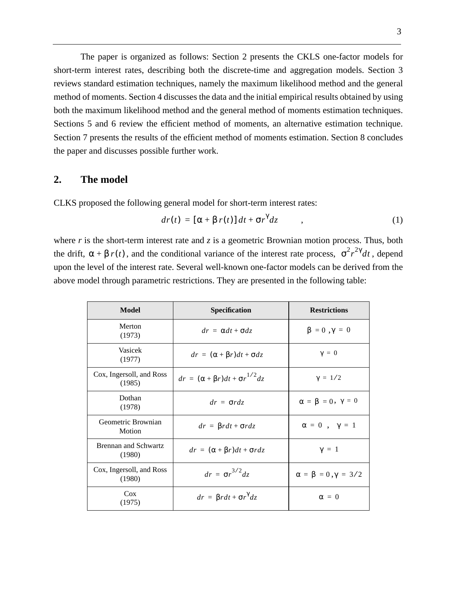The paper is organized as follows: Section 2 presents the CKLS one-factor models for short-term interest rates, describing both the discrete-time and aggregation models. Section 3 reviews standard estimation techniques, namely the maximum likelihood method and the general method of moments. Section 4 discusses the data and the initial empirical results obtained by using both the maximum likelihood method and the general method of moments estimation techniques. Sections 5 and 6 review the efficient method of moments, an alternative estimation technique. Section 7 presents the results of the efficient method of moments estimation. Section 8 concludes the paper and discusses possible further work.

#### **2. The model**

CLKS proposed the following general model for short-term interest rates:

$$
dr(t) = [\alpha + \beta r(t)] dt + \sigma r^{\gamma} dz \qquad , \qquad (1)
$$

where  $r$  is the short-term interest rate and  $\zeta$  is a geometric Brownian motion process. Thus, both the drift,  $\alpha + \beta r(t)$ , and the conditional variance of the interest rate process,  $\sigma^2 r^{2\gamma} dt$ , depend upon the level of the interest rate. Several well-known one-factor models can be derived from the above model through parametric restrictions. They are presented in the following table:

| Model                                 | Specification                                  | <b>Restrictions</b>                |
|---------------------------------------|------------------------------------------------|------------------------------------|
| Merton<br>(1973)                      | $dr = \alpha dt + \sigma dz$                   | $\beta = 0$ , $\gamma = 0$         |
| Vasicek<br>(1977)                     | $dr = (\alpha + \beta r)dt + \sigma dz$        | $\gamma = 0$                       |
| Cox, Ingersoll, and Ross<br>(1985)    | $dr = (\alpha + \beta r)dt + \sigma r^{1/2}dz$ | $\gamma = 1/2$                     |
| Dothan<br>(1978)                      | $dr = \sigma r dz$                             | $\alpha = \beta = 0, \gamma = 0$   |
| Geometric Brownian<br>Motion          | $dr = \beta r dt + \sigma r dz$                | $\alpha = 0$ , $\gamma = 1$        |
| <b>Brennan and Schwartz</b><br>(1980) | $dr = (\alpha + \beta r)dt + \sigma r dz$      | $\gamma = 1$                       |
| Cox, Ingersoll, and Ross<br>(1980)    | $dr = \sigma r^{3/2} dz$                       | $\alpha = \beta = 0, \gamma = 3/2$ |
| $\cos$<br>(1975)                      | $dr = \beta r dt + \sigma r^{\gamma} dz$       | $\alpha = 0$                       |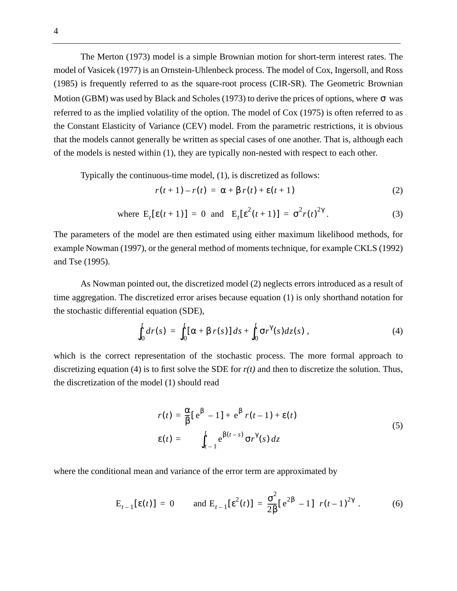The Merton (1973) model is a simple Brownian motion for short-term interest rates. The model of Vasicek (1977) is an Ornstein-Uhlenbeck process. The model of Cox, Ingersoll, and Ross (1985) is frequently referred to as the square-root process (CIR-SR). The Geometric Brownian Motion (GBM) was used by Black and Scholes (1973) to derive the prices of options, where  $\sigma$  was referred to as the implied volatility of the option. The model of Cox (1975) is often referred to as the Constant Elasticity of Variance (CEV) model. From the parametric restrictions, it is obvious that the models cannot generally be written as special cases of one another. That is, although each of the models is nested within (1), they are typically non-nested with respect to each other.

Typically the continuous-time model, (1), is discretized as follows:

$$
r(t+1) - r(t) = \alpha + \beta r(t) + \varepsilon(t+1)
$$
 (2)

where 
$$
E_t[\varepsilon(t+1)] = 0
$$
 and  $E_t[\varepsilon^2(t+1)] = \sigma^2 r(t)^{2\gamma}$ . (3)

The parameters of the model are then estimated using either maximum likelihood methods, for example Nowman (1997), or the general method of moments technique, for example CKLS (1992) and Tse (1995).

As Nowman pointed out, the discretized model (2) neglects errors introduced as a result of time aggregation. The discretized error arises because equation (1) is only shorthand notation for the stochastic differential equation (SDE),

$$
\int_0^t dr(s) = \int_0^t [\alpha + \beta r(s)] ds + \int_0^t \sigma r^{\gamma}(s) dz(s) , \qquad (4)
$$

which is the correct representation of the stochastic process. The more formal approach to discretizing equation (4) is to first solve the SDE for *r(t)* and then to discretize the solution. Thus, the discretization of the model (1) should read

$$
r(t) = \frac{\alpha}{\beta} [e^{\beta} - 1] + e^{\beta} r(t - 1) + \varepsilon(t)
$$
  
\n
$$
\varepsilon(t) = \int_{t-1}^{t} e^{\beta(t-s)} \sigma r^{\gamma}(s) dz
$$
\n(5)

where the conditional mean and variance of the error term are approximated by

$$
E_{t-1}[\epsilon(t)] = 0 \quad \text{and } E_{t-1}[\epsilon^{2}(t)] = \frac{\sigma^{2}}{2\beta}[\ e^{2\beta} - 1] \ r(t-1)^{2\gamma} . \tag{6}
$$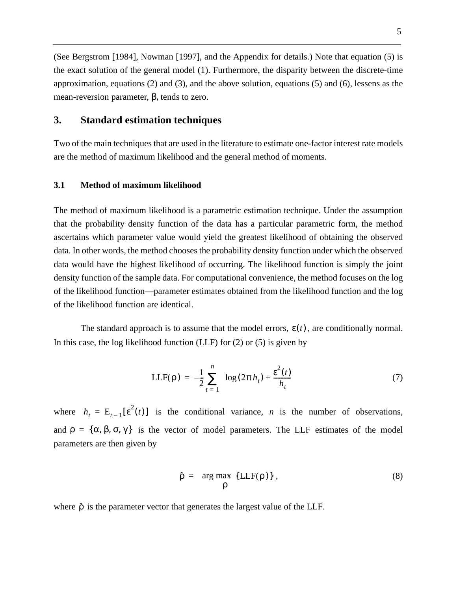(See Bergstrom [1984], Nowman [1997], and the Appendix for details.) Note that equation (5) is the exact solution of the general model (1). Furthermore, the disparity between the discrete-time approximation, equations (2) and (3), and the above solution, equations (5) and (6), lessens as the mean-reversion parameter, β, tends to zero.

### **3. Standard estimation techniques**

Two of the main techniques that are used in the literature to estimate one-factor interest rate models are the method of maximum likelihood and the general method of moments.

#### **3.1 Method of maximum likelihood**

The method of maximum likelihood is a parametric estimation technique. Under the assumption that the probability density function of the data has a particular parametric form, the method ascertains which parameter value would yield the greatest likelihood of obtaining the observed data. In other words, the method chooses the probability density function under which the observed data would have the highest likelihood of occurring. The likelihood function is simply the joint density function of the sample data. For computational convenience, the method focuses on the log of the likelihood function—parameter estimates obtained from the likelihood function and the log of the likelihood function are identical.

The standard approach is to assume that the model errors,  $\varepsilon(t)$ , are conditionally normal. In this case, the log likelihood function  $(LLF)$  for  $(2)$  or  $(5)$  is given by

$$
LLF(\rho) = -\frac{1}{2} \sum_{t=1}^{n} \left\{ \log(2\pi h_t) + \frac{\varepsilon^2(t)}{h_t} \right\}
$$
 (7)

where  $h_t = E_{t-1}[\varepsilon^2(t)]$  is the conditional variance, *n* is the number of observations, and  $\rho = {\alpha, \beta, \sigma, \gamma}$  is the vector of model parameters. The LLF estimates of the model parameters are then given by

$$
\hat{\rho} = \arg \max_{\rho} \{LLF(\rho)\},\tag{8}
$$

where  $\hat{\rho}$  is the parameter vector that generates the largest value of the LLF.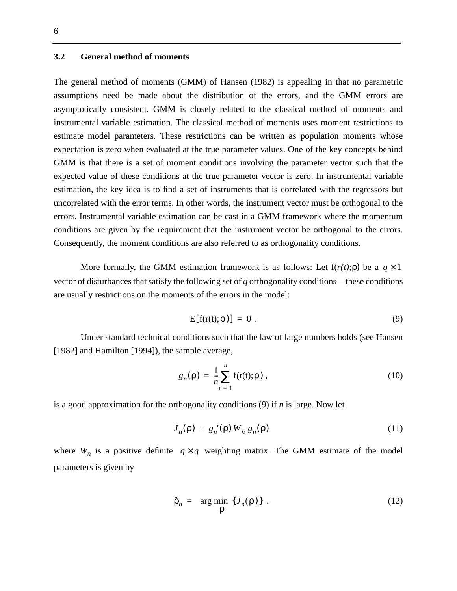#### **3.2 General method of moments**

The general method of moments (GMM) of Hansen (1982) is appealing in that no parametric assumptions need be made about the distribution of the errors, and the GMM errors are asymptotically consistent. GMM is closely related to the classical method of moments and instrumental variable estimation. The classical method of moments uses moment restrictions to estimate model parameters. These restrictions can be written as population moments whose expectation is zero when evaluated at the true parameter values. One of the key concepts behind GMM is that there is a set of moment conditions involving the parameter vector such that the expected value of these conditions at the true parameter vector is zero. In instrumental variable estimation, the key idea is to find a set of instruments that is correlated with the regressors but uncorrelated with the error terms. In other words, the instrument vector must be orthogonal to the errors. Instrumental variable estimation can be cast in a GMM framework where the momentum conditions are given by the requirement that the instrument vector be orthogonal to the errors. Consequently, the moment conditions are also referred to as orthogonality conditions.

More formally, the GMM estimation framework is as follows: Let  $f(r(t); \rho)$  be a  $q \times 1$ vector of disturbances that satisfy the following set of *q* orthogonality conditions—these conditions are usually restrictions on the moments of the errors in the model:

$$
E[f(r(t);\rho)] = 0.
$$
 (9)

Under standard technical conditions such that the law of large numbers holds (see Hansen [1982] and Hamilton [1994]), the sample average,

$$
g_n(\rho) = \frac{1}{n} \sum_{t=1}^n f(r(t); \rho) , \qquad (10)
$$

is a good approximation for the orthogonality conditions (9) if *n* is large. Now let

$$
J_n(\rho) = g_n(\rho) W_n g_n(\rho) \tag{11}
$$

where  $W_n$  is a positive definite  $q \times q$  weighting matrix. The GMM estimate of the model parameters is given by

$$
\hat{\rho}_n = \arg\min_{\rho} \{J_n(\rho)\} \tag{12}
$$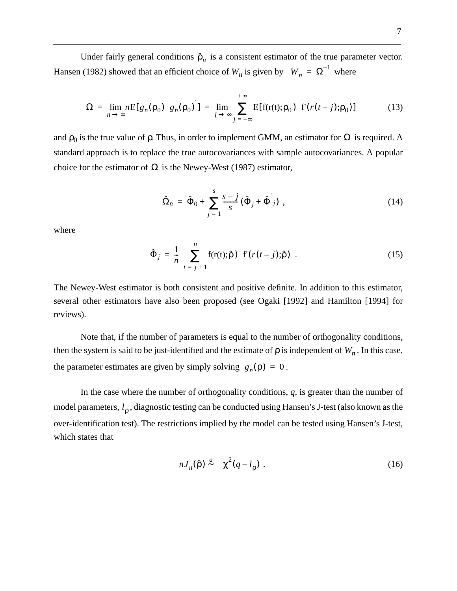Under fairly general conditions  $\hat{\rho}_n$  is a consistent estimator of the true parameter vector. Hansen (1982) showed that an efficient choice of  $W_n$  is given by  $W_n = \Omega^{-1}$  where

$$
\Omega = \lim_{n \to \infty} n \mathbb{E}[g_n(\rho_0) \ g_n(\rho_0)] = \lim_{j \to \infty} \sum_{j = -\infty}^{+\infty} \mathbb{E}[f(r(t);\rho_0) \ f(r(t-j);\rho_0)] \tag{13}
$$

and  $\rho_0$  is the true value of  $\rho$ . Thus, in order to implement GMM, an estimator for  $\Omega$  is required. A standard approach is to replace the true autocovariances with sample autocovariances. A popular choice for the estimator of  $\Omega$  is the Newey-West (1987) estimator,

$$
\hat{\Omega}_n = \hat{\Phi}_0 + \sum_{j=1}^s \frac{s-j}{s} (\hat{\Phi}_j + \hat{\Phi}^{'}_j) , \qquad (14)
$$

where

$$
\hat{\Phi}_j = \frac{1}{n} \sum_{t=j+1}^n f(r(t); \hat{\rho}) \ \mathbf{f}(r(t-j); \hat{\rho}) \ . \tag{15}
$$

The Newey-West estimator is both consistent and positive definite. In addition to this estimator, several other estimators have also been proposed (see Ogaki [1992] and Hamilton [1994] for reviews).

Note that, if the number of parameters is equal to the number of orthogonality conditions, then the system is said to be just-identified and the estimate of  $\rho$  is independent of  $W_n$ . In this case, the parameter estimates are given by simply solving  $g_n(\rho) = 0$ .

In the case where the number of orthogonality conditions, *q*, is greater than the number of model parameters, l<sub>ρ</sub>, diagnostic testing can be conducted using Hansen's J-test (also known as the over-identification test). The restrictions implied by the model can be tested using Hansen's J-test, which states that

$$
nJ_n(\hat{\rho}) \stackrel{a}{\sim} \chi^2(q - l_\rho) \tag{16}
$$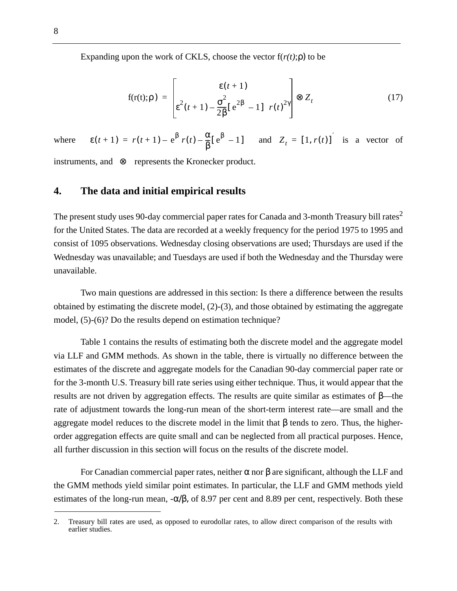Expanding upon the work of CKLS, choose the vector  $f(r(t); \rho)$  to be

$$
f(r(t); \rho) = \begin{bmatrix} \epsilon(t+1) \\ \epsilon^2(t+1) - \frac{\sigma^2}{2\beta} [e^{2\beta} - 1] & r(t)^{2\gamma} \end{bmatrix} \otimes Z_t
$$
 (17)

where  $\epsilon(t+1) = r(t+1) - e^{\beta} r(t) - \frac{\alpha}{\beta} [e^{\beta} - 1]$  and  $Z_t = [1, r(t)]^{'}$  is a vector of

instruments, and  $\otimes$  represents the Kronecker product.

## **4. The data and initial empirical results**

The present study uses 90-day commercial paper rates for Canada and 3-month Treasury bill rates<sup>2</sup> for the United States. The data are recorded at a weekly frequency for the period 1975 to 1995 and consist of 1095 observations. Wednesday closing observations are used; Thursdays are used if the Wednesday was unavailable; and Tuesdays are used if both the Wednesday and the Thursday were unavailable.

Two main questions are addressed in this section: Is there a difference between the results obtained by estimating the discrete model, (2)-(3), and those obtained by estimating the aggregate model, (5)-(6)? Do the results depend on estimation technique?

Table 1 contains the results of estimating both the discrete model and the aggregate model via LLF and GMM methods. As shown in the table, there is virtually no difference between the estimates of the discrete and aggregate models for the Canadian 90-day commercial paper rate or for the 3-month U.S. Treasury bill rate series using either technique. Thus, it would appear that the results are not driven by aggregation effects. The results are quite similar as estimates of β—the rate of adjustment towards the long-run mean of the short-term interest rate—are small and the aggregate model reduces to the discrete model in the limit that β tends to zero. Thus, the higherorder aggregation effects are quite small and can be neglected from all practical purposes. Hence, all further discussion in this section will focus on the results of the discrete model.

For Canadian commercial paper rates, neither  $\alpha$  nor  $\beta$  are significant, although the LLF and the GMM methods yield similar point estimates. In particular, the LLF and GMM methods yield estimates of the long-run mean,  $-\alpha/\beta$ , of 8.97 per cent and 8.89 per cent, respectively. Both these

<sup>2.</sup> Treasury bill rates are used, as opposed to eurodollar rates, to allow direct comparison of the results with earlier studies.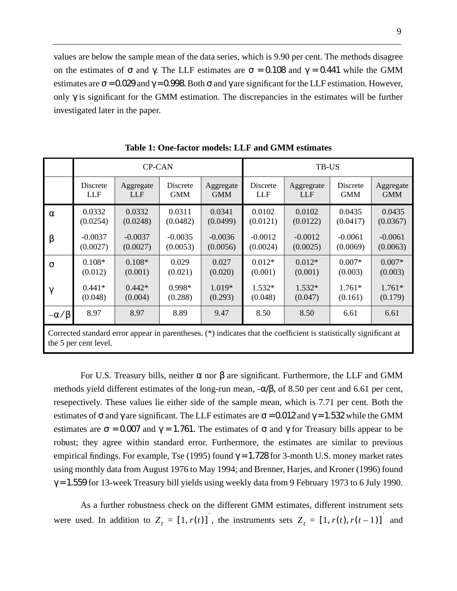values are below the sample mean of the data series, which is 9.90 per cent. The methods disagree on the estimates of  $\sigma$  and  $\gamma$ . The LLF estimates are  $\sigma = 0.108$  and  $\gamma = 0.441$  while the GMM estimates are  $\sigma$  = 0.029 and  $\gamma$  = 0.998. Both  $\sigma$  and  $\gamma$  are significant for the LLF estimation. However, only  $\gamma$  is significant for the GMM estimation. The discrepancies in the estimates will be further investigated later in the paper.

|                 |           | <b>CP-CAN</b> |            |            | TB-US      |                                                                                                                    |            |            |
|-----------------|-----------|---------------|------------|------------|------------|--------------------------------------------------------------------------------------------------------------------|------------|------------|
|                 | Discrete  | Aggregate     | Discrete   | Aggregate  | Discrete   | Aggregrate                                                                                                         | Discrete   | Aggregate  |
|                 | LLF       | <b>LLF</b>    | <b>GMM</b> | <b>GMM</b> | <b>LLF</b> | <b>LLF</b>                                                                                                         | <b>GMM</b> | <b>GMM</b> |
| $\alpha$        | 0.0332    | 0.0332        | 0.0311     | 0.0341     | 0.0102     | 0.0102                                                                                                             | 0.0435     | 0.0435     |
|                 | (0.0254)  | (0.0248)      | (0.0482)   | (0.0499)   | (0.0121)   | (0.0122)                                                                                                           | (0.0417)   | (0.0367)   |
| $\beta$         | $-0.0037$ | $-0.0037$     | $-0.0035$  | $-0.0036$  | $-0.0012$  | $-0.0012$                                                                                                          | $-0.0061$  | $-0.0061$  |
|                 | (0.0027)  | (0.0027)      | (0.0053)   | (0.0056)   | (0.0024)   | (0.0025)                                                                                                           | (0.0069)   | (0.0063)   |
| $\sigma$        | $0.108*$  | $0.108*$      | 0.029      | 0.027      | $0.012*$   | $0.012*$                                                                                                           | $0.007*$   | $0.007*$   |
|                 | (0.012)   | (0.001)       | (0.021)    | (0.020)    | (0.001)    | (0.001)                                                                                                            | (0.003)    | (0.003)    |
| $\gamma$        | $0.441*$  | $0.442*$      | 0.998*     | 1.019*     | $1.532*$   | $1.532*$                                                                                                           | $1.761*$   | $1.761*$   |
|                 | (0.048)   | (0.004)       | (0.288)    | (0.293)    | (0.048)    | (0.047)                                                                                                            | (0.161)    | (0.179)    |
| $-\alpha/\beta$ | 8.97      | 8.97          | 8.89       | 9.47       | 8.50       | 8.50                                                                                                               | 6.61       | 6.61       |
|                 |           |               |            |            |            | Corrected standard error appear in parentheses. (*) indicates that the coefficient is statistically significant at |            |            |

**Table 1: One-factor models: LLF and GMM estimates**

For U.S. Treasury bills, neither α nor β are significant. Furthermore, the LLF and GMM methods yield different estimates of the long-run mean,  $-\alpha/\beta$ , of 8.50 per cent and 6.61 per cent, resepectively. These values lie either side of the sample mean, which is 7.71 per cent. Both the estimates of  $\sigma$  and  $\gamma$  are significant. The LLF estimates are  $\sigma$  = 0.012 and  $\gamma$  = 1.532 while the GMM estimates are  $\sigma = 0.007$  and  $\gamma = 1.761$ . The estimates of  $\sigma$  and  $\gamma$  for Treasury bills appear to be robust; they agree within standard error. Furthermore, the estimates are similar to previous empirical findings. For example, Tse (1995) found  $\gamma = 1.728$  for 3-month U.S. money market rates using monthly data from August 1976 to May 1994; and Brenner, Harjes, and Kroner (1996) found  $\gamma$  = 1.559 for 13-week Treasury bill yields using weekly data from 9 February 1973 to 6 July 1990.

the 5 per cent level.

As a further robustness check on the different GMM estimates, different instrument sets were used. In addition to  $Z_t = [1, r(t)]$ , the instruments sets  $Z_t = [1, r(t), r(t-1)]$  and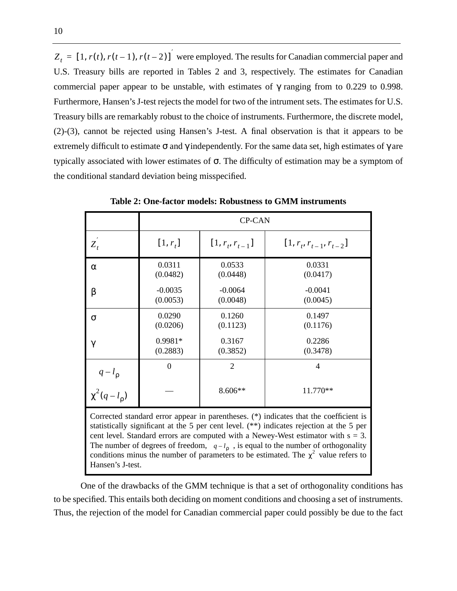$Z_t = [1, r(t), r(t-1), r(t-2)]$  were employed. The results for Canadian commercial paper and U.S. Treasury bills are reported in Tables 2 and 3, respectively. The estimates for Canadian commercial paper appear to be unstable, with estimates of  $\gamma$  ranging from to 0.229 to 0.998. Furthermore, Hansen's J-test rejects the model for two of the intrument sets. The estimates for U.S. Treasury bills are remarkably robust to the choice of instruments. Furthermore, the discrete model, (2)-(3), cannot be rejected using Hansen's J-test. A final observation is that it appears to be extremely difficult to estimate  $\sigma$  and  $\gamma$  independently. For the same data set, high estimates of  $\gamma$  are typically associated with lower estimates of σ. The difficulty of estimation may be a symptom of the conditional standard deviation being misspecified.

|                                                                                                                                                                                                                                                                                                                                                                                                                                                                                  | <b>CP-CAN</b>                                               |                       |                              |  |  |  |
|----------------------------------------------------------------------------------------------------------------------------------------------------------------------------------------------------------------------------------------------------------------------------------------------------------------------------------------------------------------------------------------------------------------------------------------------------------------------------------|-------------------------------------------------------------|-----------------------|------------------------------|--|--|--|
| $Z_t$                                                                                                                                                                                                                                                                                                                                                                                                                                                                            | $[1, r_t]$                                                  | $[1, r_t, r_{t-1}]$   | $[1, r_t, r_{t-1}, r_{t-2}]$ |  |  |  |
| $\alpha$                                                                                                                                                                                                                                                                                                                                                                                                                                                                         | 0.0311<br>(0.0482)                                          | 0.0533<br>(0.0448)    | 0.0331<br>(0.0417)           |  |  |  |
| β                                                                                                                                                                                                                                                                                                                                                                                                                                                                                | $-0.0035$<br>(0.0053)                                       | $-0.0064$<br>(0.0048) | $-0.0041$<br>(0.0045)        |  |  |  |
| σ                                                                                                                                                                                                                                                                                                                                                                                                                                                                                | 0.0290<br>(0.0206)                                          | 0.1260<br>(0.1123)    | 0.1497<br>(0.1176)           |  |  |  |
| $\gamma$                                                                                                                                                                                                                                                                                                                                                                                                                                                                         | 0.9981*<br>(0.2883)                                         | 0.3167<br>(0.3852)    | 0.2286<br>(0.3478)           |  |  |  |
|                                                                                                                                                                                                                                                                                                                                                                                                                                                                                  | $\overline{2}$<br>$\overline{4}$<br>$\Omega$                |                       |                              |  |  |  |
|                                                                                                                                                                                                                                                                                                                                                                                                                                                                                  | $q-l_{\rho}$<br>$\chi^2(q-l_{\rho})$<br>8.606**<br>11.770** |                       |                              |  |  |  |
| Corrected standard error appear in parentheses. (*) indicates that the coefficient is<br>statistically significant at the 5 per cent level. $(**)$ indicates rejection at the 5 per<br>cent level. Standard errors are computed with a Newey-West estimator with $s = 3$ .<br>The number of degrees of freedom, $q-l_0$ , is equal to the number of orthogonality<br>conditions minus the number of parameters to be estimated. The $\chi^2$ value refers to<br>Hansen's J-test. |                                                             |                       |                              |  |  |  |

**Table 2: One-factor models: Robustness to GMM instruments**

One of the drawbacks of the GMM technique is that a set of orthogonality conditions has to be specified. This entails both deciding on moment conditions and choosing a set of instruments. Thus, the rejection of the model for Canadian commercial paper could possibly be due to the fact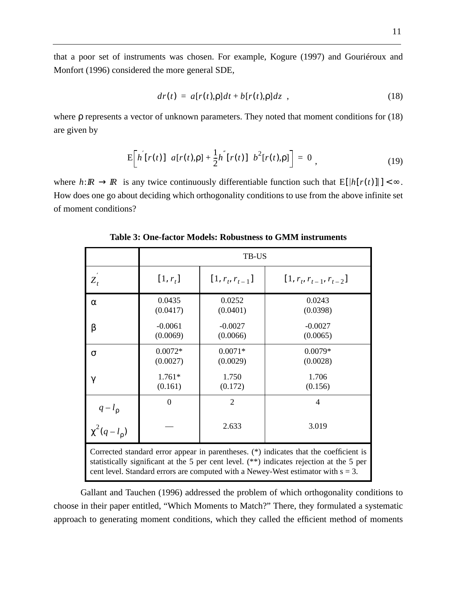that a poor set of instruments was chosen. For example, Kogure (1997) and Gouriéroux and Monfort (1996) considered the more general SDE,

$$
dr(t) = a[r(t),\rho]dt + b[r(t),\rho]dz \t\t(18)
$$

where ρ represents a vector of unknown parameters. They noted that moment conditions for (18) are given by

$$
E\bigg[h^{'}[r(t)] \ a[r(t),\rho] + \frac{1}{2}h^{''}[r(t)] \ b^{2}[r(t),\rho]\bigg] = 0 , \qquad (19)
$$

where  $h: \mathbb{R} \to \mathbb{R}$  is any twice continuously differentiable function such that  $E[|h[r(t)]|] < \infty$ . How does one go about deciding which orthogonality conditions to use from the above infinite set of moment conditions?

|                                                                                                                                                                                                                                                                            | TB-US                 |                       |                              |  |  |  |  |
|----------------------------------------------------------------------------------------------------------------------------------------------------------------------------------------------------------------------------------------------------------------------------|-----------------------|-----------------------|------------------------------|--|--|--|--|
| $Z_t$                                                                                                                                                                                                                                                                      | $[1, r_t]$            | $[1, r_t, r_{t-1}]$   | $[1, r_t, r_{t-1}, r_{t-2}]$ |  |  |  |  |
| $\alpha$                                                                                                                                                                                                                                                                   | 0.0435<br>(0.0417)    | 0.0252<br>(0.0401)    | 0.0243<br>(0.0398)           |  |  |  |  |
| β                                                                                                                                                                                                                                                                          | $-0.0061$<br>(0.0069) | $-0.0027$<br>(0.0066) | $-0.0027$<br>(0.0065)        |  |  |  |  |
| $\sigma$                                                                                                                                                                                                                                                                   | $0.0072*$<br>(0.0027) | $0.0071*$<br>(0.0029) | $0.0079*$<br>(0.0028)        |  |  |  |  |
| $\gamma$                                                                                                                                                                                                                                                                   | $1.761*$<br>(0.161)   | 1.750<br>(0.172)      | 1.706<br>(0.156)             |  |  |  |  |
|                                                                                                                                                                                                                                                                            | $\Omega$              | $\overline{2}$        | 4                            |  |  |  |  |
| $q-l_p$<br>$\chi^2(q-l_p)$<br>2.633<br>3.019                                                                                                                                                                                                                               |                       |                       |                              |  |  |  |  |
| Corrected standard error appear in parentheses. (*) indicates that the coefficient is<br>statistically significant at the 5 per cent level. $(**)$ indicates rejection at the 5 per<br>cent level. Standard errors are computed with a Newey-West estimator with $s = 3$ . |                       |                       |                              |  |  |  |  |

**Table 3: One-factor Models: Robustness to GMM instruments**

Gallant and Tauchen (1996) addressed the problem of which orthogonality conditions to choose in their paper entitled, "Which Moments to Match?" There, they formulated a systematic approach to generating moment conditions, which they called the efficient method of moments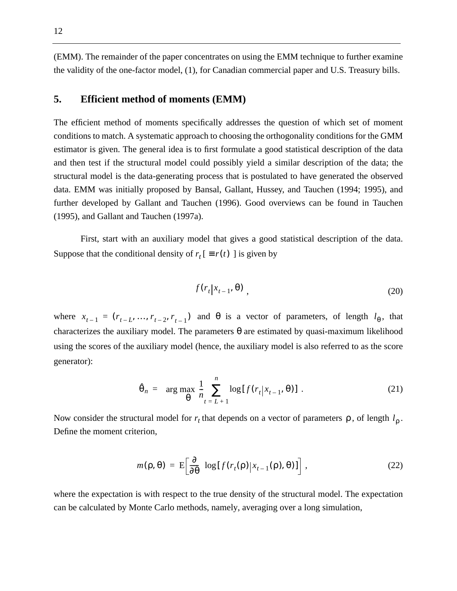(EMM). The remainder of the paper concentrates on using the EMM technique to further examine the validity of the one-factor model, (1), for Canadian commercial paper and U.S. Treasury bills.

### **5. Efficient method of moments (EMM)**

The efficient method of moments specifically addresses the question of which set of moment conditions to match. A systematic approach to choosing the orthogonality conditions for the GMM estimator is given. The general idea is to first formulate a good statistical description of the data and then test if the structural model could possibly yield a similar description of the data; the structural model is the data-generating process that is postulated to have generated the observed data. EMM was initially proposed by Bansal, Gallant, Hussey, and Tauchen (1994; 1995), and further developed by Gallant and Tauchen (1996). Good overviews can be found in Tauchen (1995), and Gallant and Tauchen (1997a).

First, start with an auxiliary model that gives a good statistical description of the data. Suppose that the conditional density of  $r_t$  [  $\equiv r(t)$  ] is given by

$$
f(r_t|x_{t-1},\theta) \tag{20}
$$

where  $x_{t-1} = (r_{t-1}, ..., r_{t-2}, r_{t-1})$  and  $\theta$  is a vector of parameters, of length  $l_{\theta}$ , that characterizes the auxiliary model. The parameters  $\theta$  are estimated by quasi-maximum likelihood using the scores of the auxiliary model (hence, the auxiliary model is also referred to as the score generator):

$$
\hat{\theta}_n = \arg \max_{\theta} \frac{1}{n} \sum_{t=L+1}^n \log[f(r_t | x_{t-1}, \theta)] \tag{21}
$$

Now consider the structural model for  $r_t$  that depends on a vector of parameters  $\rho$ , of length  $l_\rho$ . Define the moment criterion,

$$
m(\rho, \theta) = \mathcal{E}\bigg[\frac{\partial}{\partial \theta} \log[f(r_t(\rho)|x_{t-1}(\rho), \theta)]\bigg], \qquad (22)
$$

where the expectation is with respect to the true density of the structural model. The expectation can be calculated by Monte Carlo methods, namely, averaging over a long simulation,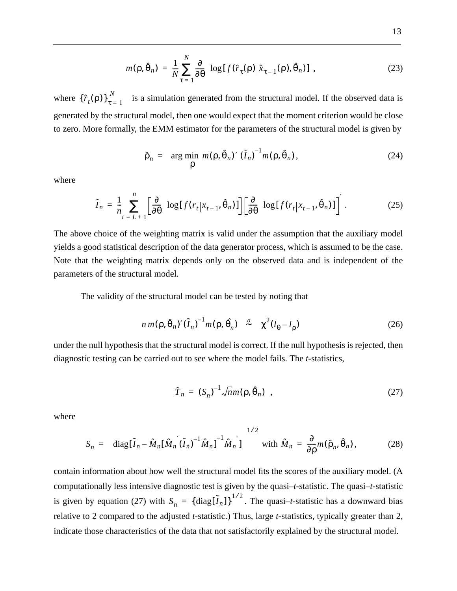$$
m(\rho, \hat{\theta}_n) = \frac{1}{N} \sum_{\tau=1}^{N} \frac{\partial}{\partial \theta} \log[f(\hat{r}_{\tau}(\rho)|\hat{x}_{\tau-1}(\rho), \hat{\theta}_n)] , \qquad (23)
$$

where  $\{\hat{r}_t(\rho)\}_{\tau=1}^N$  is a simulation generated from the structural model. If the observed data is generated by the structural model, then one would expect that the moment criterion would be close to zero. More formally, the EMM estimator for the parameters of the structural model is given by

$$
\hat{\rho}_n = \arg\min_{\rho} m(\rho, \hat{\theta}_n)' (\tilde{I}_n)^{-1} m(\rho, \hat{\theta}_n), \qquad (24)
$$

where

$$
\tilde{I}_n = \frac{1}{n} \sum_{t=L+1}^n \left[ \frac{\partial}{\partial \theta} \log[f(r_t | x_{t-1}, \hat{\theta}_n)] \right] \left[ \frac{\partial}{\partial \theta} \log[f(r_t | x_{t-1}, \hat{\theta}_n)] \right] \tag{25}
$$

The above choice of the weighting matrix is valid under the assumption that the auxiliary model yields a good statistical description of the data generator process, which is assumed to be the case. Note that the weighting matrix depends only on the observed data and is independent of the parameters of the structural model.

The validity of the structural model can be tested by noting that

$$
n \, m(\rho, \hat{\theta}_n)'(\tilde{I}_n)^{-1} m(\rho, \hat{\theta}_n) \quad \stackrel{a}{\sim} \quad \chi^2(l_\theta - l_\rho) \tag{26}
$$

under the null hypothesis that the structural model is correct. If the null hypothesis is rejected, then diagnostic testing can be carried out to see where the model fails. The *t*-statistics,

$$
\hat{T}_n = (S_n)^{-1} \sqrt{n} m(\rho, \hat{\theta}_n) \quad , \tag{27}
$$

where

$$
S_n = \left\{ \operatorname{diag}[\tilde{I}_n - \hat{M}_n [\hat{M}_n' (\tilde{I}_n)^{-1} \hat{M}_n]]^{-1} \hat{M}_n' \right\}^{1/2} \text{ with } \hat{M}_n = \frac{\partial}{\partial \rho} m(\hat{\rho}_n, \hat{\theta}_n), \tag{28}
$$

contain information about how well the structural model fits the scores of the auxiliary model. (A computationally less intensive diagnostic test is given by the quasi–*t*-statistic. The quasi–*t*-statistic is given by equation (27) with  $S_n = {\text{diag}[\tilde{I}_n]}^{1/2}$ . The quasi-*t*-statistic has a downward bias relative to 2 compared to the adjusted *t*-statistic.) Thus, large *t*-statistics, typically greater than 2, indicate those characteristics of the data that not satisfactorily explained by the structural model.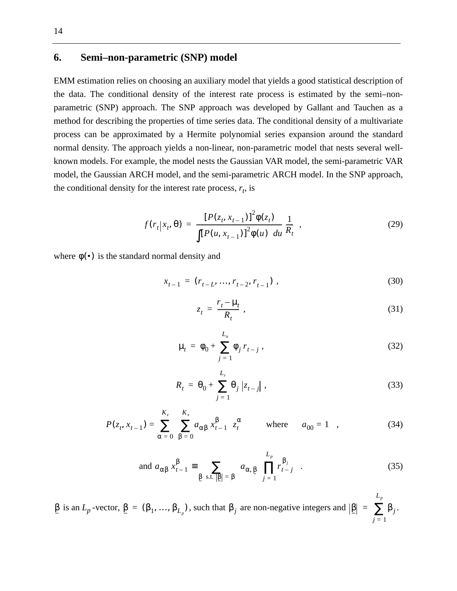## **6. Semi–non-parametric (SNP) model**

EMM estimation relies on choosing an auxiliary model that yields a good statistical description of the data. The conditional density of the interest rate process is estimated by the semi–nonparametric (SNP) approach. The SNP approach was developed by Gallant and Tauchen as a method for describing the properties of time series data. The conditional density of a multivariate process can be approximated by a Hermite polynomial series expansion around the standard normal density. The approach yields a non-linear, non-parametric model that nests several wellknown models. For example, the model nests the Gaussian VAR model, the semi-parametric VAR model, the Gaussian ARCH model, and the semi-parametric ARCH model. In the SNP approach, the conditional density for the interest rate process,  $r_t$ , is

$$
f(r_t|x_t, \theta) = \frac{[P(z_t, x_{t-1})]^2 \phi(z_t)}{\int [P(u, x_{t-1})]^2 \phi(u) du} \frac{1}{R_t},
$$
\n(29)

where  $\phi(\bullet)$  is the standard normal density and

$$
x_{t-1} = (r_{t-L}, ..., r_{t-2}, r_{t-1}), \qquad (30)
$$

$$
z_t = \frac{r_t - \mu_t}{R_t} \,,\tag{31}
$$

$$
\mu_t = \phi_0 + \sum_{j=1}^{L_u} \phi_j r_{t-j}, \qquad (32)
$$

$$
R_t = \theta_0 + \sum_{j=1}^{L_r} \theta_j |z_{t-j}|,
$$
\n(33)

$$
P(z_t, x_{t-1}) = \sum_{\alpha=0}^{K_z} \left( \sum_{\beta=0}^{K_x} a_{\alpha\beta} x_{t-1}^{\beta} \right) z_t^{\alpha} \quad \text{where} \quad a_{00} = 1 \quad , \tag{34}
$$

and 
$$
a_{\alpha\beta} x_{t-1}^{\beta} \equiv \sum_{\beta \text{ s.t. } |\beta| = \beta} a_{\alpha, \beta} \prod_{j=1}^{L_p} r_{t-j}^{\beta_j}
$$
 (35)

 $\beta$  is an *L<sub>p</sub>*-vector,  $\beta = (\beta_1, ..., \beta_{L_p})$ , such that  $\beta_j$  are non-negative integers and  $|\beta| = \sum \beta_j$ .  $i=1$ *Lp* <sup>=</sup> ∑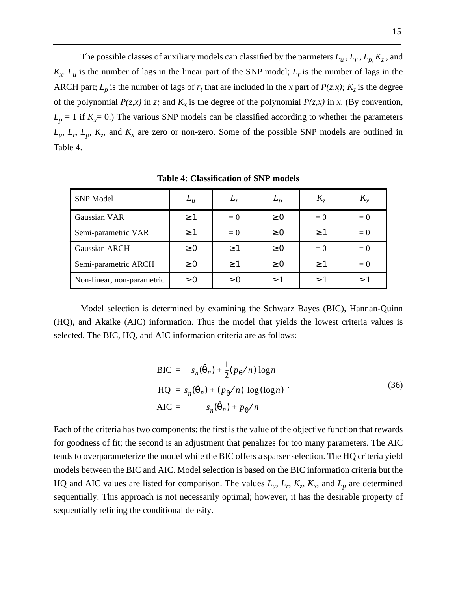The possible classes of auxiliary models can classified by the parmeters  $L_u$ ,  $L_r$ ,  $L_p$ ,  $K_z$ , and  $K_x$ .  $L_u$  is the number of lags in the linear part of the SNP model;  $L_v$  is the number of lags in the ARCH part;  $L_p$  is the number of lags of  $r_t$  that are included in the *x* part of  $P(z, x)$ ;  $K_z$  is the degree of the polynomial  $P(z, x)$  in *z*; and  $K_x$  is the degree of the polynomial  $P(z, x)$  in *x*. (By convention,  $L_p = 1$  if  $K_x = 0$ .) The various SNP models can be classified according to whether the parameters  $L_u$ ,  $L_p$ ,  $L_p$ ,  $K_z$ , and  $K_x$  are zero or non-zero. Some of the possible SNP models are outlined in Table 4.

| <b>SNP</b> Model           | $L_u$    | $L_r$    | $L_p$    | $K_{\tau}$ |       |
|----------------------------|----------|----------|----------|------------|-------|
| Gaussian VAR               | $\geq 1$ | $= 0$    | $\geq 0$ | $= 0$      | $= 0$ |
| Semi-parametric VAR        | $\geq$ 1 | $= 0$    | $\geq 0$ | $\geq 1$   | $= 0$ |
| Gaussian ARCH              | $\geq 0$ | $\geq$ 1 | $\geq 0$ | $= 0$      | $= 0$ |
| Semi-parametric ARCH       | $\geq 0$ | >1       | $\geq 0$ | $\geq 1$   | $= 0$ |
| Non-linear, non-parametric | $\geq 0$ | $\geq 0$ | >1       | >1         | >1    |

**Table 4: Classification of SNP models**

Model selection is determined by examining the Schwarz Bayes (BIC), Hannan-Quinn (HQ), and Akaike (AIC) information. Thus the model that yields the lowest criteria values is selected. The BIC, HQ, and AIC information criteria are as follows:

$$
BIC = s_n(\hat{\theta}_n) + \frac{1}{2}(p_{\theta}/n) \log n
$$
  
\n
$$
HQ = s_n(\hat{\theta}_n) + (p_{\theta}/n) \log(\log n)
$$
  
\n
$$
AIC = s_n(\hat{\theta}_n) + p_{\theta}/n
$$
\n(36)

Each of the criteria has two components: the first is the value of the objective function that rewards for goodness of fit; the second is an adjustment that penalizes for too many parameters. The AIC tends to overparameterize the model while the BIC offers a sparser selection. The HQ criteria yield models between the BIC and AIC. Model selection is based on the BIC information criteria but the HQ and AIC values are listed for comparison. The values  $L_u$ ,  $L_r$ ,  $K_z$ ,  $K_x$ , and  $L_p$  are determined sequentially. This approach is not necessarily optimal; however, it has the desirable property of sequentially refining the conditional density.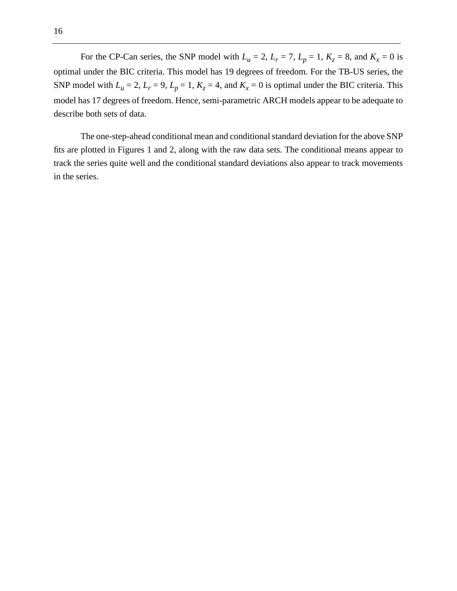For the CP-Can series, the SNP model with  $L_u = 2$ ,  $L_r = 7$ ,  $L_p = 1$ ,  $K_z = 8$ , and  $K_x = 0$  is optimal under the BIC criteria. This model has 19 degrees of freedom. For the TB-US series, the SNP model with  $L_u = 2$ ,  $L_r = 9$ ,  $L_p = 1$ ,  $K_z = 4$ , and  $K_x = 0$  is optimal under the BIC criteria. This model has 17 degrees of freedom. Hence, semi-parametric ARCH models appear to be adequate to describe both sets of data.

The one-step-ahead conditional mean and conditional standard deviation for the above SNP fits are plotted in Figures 1 and 2, along with the raw data sets. The conditional means appear to track the series quite well and the conditional standard deviations also appear to track movements in the series.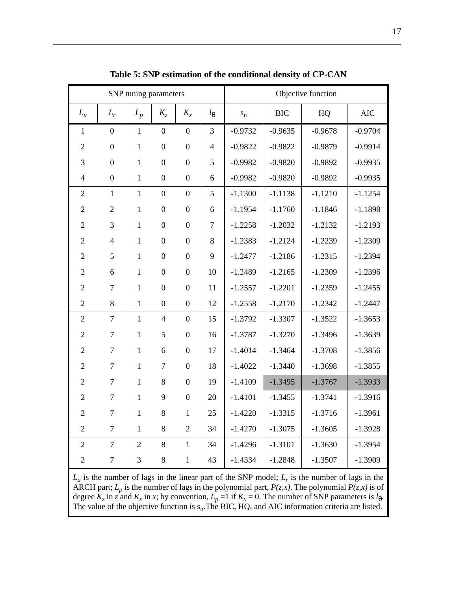| SNP tuning parameters |                  |                |                  |                  |                  |                         |            | Objective function |            |
|-----------------------|------------------|----------------|------------------|------------------|------------------|-------------------------|------------|--------------------|------------|
| $L_u$                 | $L_r$            | $L_p$          | $K_{Z}$          | $K_{x}$          | $l_{\theta}$     | $\mathbf{s}_\mathrm{n}$ | <b>BIC</b> | HQ                 | <b>AIC</b> |
| $\mathbf{1}$          | $\boldsymbol{0}$ | $\mathbf{1}$   | $\boldsymbol{0}$ | $\overline{0}$   | 3                | $-0.9732$               | $-0.9635$  | $-0.9678$          | $-0.9704$  |
| $\overline{2}$        | $\boldsymbol{0}$ | $\mathbf{1}$   | $\overline{0}$   | $\overline{0}$   | $\overline{4}$   | $-0.9822$               | $-0.9822$  | $-0.9879$          | $-0.9914$  |
| 3                     | $\overline{0}$   | $\mathbf{1}$   | $\overline{0}$   | $\overline{0}$   | 5                | $-0.9982$               | $-0.9820$  | $-0.9892$          | $-0.9935$  |
| $\overline{4}$        | $\boldsymbol{0}$ | $\mathbf{1}$   | $\boldsymbol{0}$ | $\boldsymbol{0}$ | 6                | $-0.9982$               | $-0.9820$  | $-0.9892$          | $-0.9935$  |
| $\overline{2}$        | $\mathbf{1}$     | $\mathbf{1}$   | $\boldsymbol{0}$ | $\overline{0}$   | 5                | $-1.1300$               | $-1.1138$  | $-1.1210$          | $-1.1254$  |
| $\mathfrak{2}$        | $\overline{2}$   | $\mathbf{1}$   | $\boldsymbol{0}$ | $\overline{0}$   | 6                | $-1.1954$               | $-1.1760$  | $-1.1846$          | $-1.1898$  |
| $\mathbf{2}$          | 3                | $\mathbf{1}$   | $\boldsymbol{0}$ | $\overline{0}$   | $\boldsymbol{7}$ | $-1.2258$               | $-1.2032$  | $-1.2132$          | $-1.2193$  |
| $\overline{2}$        | $\overline{4}$   | $\mathbf{1}$   | $\boldsymbol{0}$ | $\boldsymbol{0}$ | $8\,$            | $-1.2383$               | $-1.2124$  | $-1.2239$          | $-1.2309$  |
| $\mathfrak{2}$        | 5                | $\mathbf{1}$   | $\boldsymbol{0}$ | $\boldsymbol{0}$ | 9                | $-1.2477$               | $-1.2186$  | $-1.2315$          | $-1.2394$  |
| $\sqrt{2}$            | 6                | $\mathbf{1}$   | $\overline{0}$   | $\overline{0}$   | 10               | $-1.2489$               | $-1.2165$  | $-1.2309$          | $-1.2396$  |
| $\mathfrak{2}$        | $\tau$           | $\mathbf{1}$   | $\boldsymbol{0}$ | $\boldsymbol{0}$ | 11               | $-1.2557$               | $-1.2201$  | $-1.2359$          | $-1.2455$  |
| $\overline{2}$        | 8                | $\mathbf{1}$   | $\boldsymbol{0}$ | $\boldsymbol{0}$ | 12               | $-1.2558$               | $-1.2170$  | $-1.2342$          | $-1.2447$  |
| $\overline{2}$        | $\overline{7}$   | 1              | $\overline{4}$   | $\overline{0}$   | 15               | $-1.3792$               | $-1.3307$  | $-1.3522$          | $-1.3653$  |
| $\mathfrak{2}$        | $\tau$           | $\mathbf{1}$   | 5                | $\boldsymbol{0}$ | 16               | $-1.3787$               | $-1.3270$  | $-1.3496$          | $-1.3639$  |
| $\overline{2}$        | $\overline{7}$   | $\mathbf{1}$   | 6                | $\boldsymbol{0}$ | 17               | $-1.4014$               | $-1.3464$  | $-1.3708$          | $-1.3856$  |
| $\overline{2}$        | $\overline{7}$   | $\mathbf{1}$   | $\tau$           | $\overline{0}$   | 18               | $-1.4022$               | $-1.3440$  | $-1.3698$          | $-1.3855$  |
| $\mathfrak{2}$        | $\boldsymbol{7}$ | $\mathbf{1}$   | 8                | $\boldsymbol{0}$ | 19               | $-1.4109$               | $-1.3495$  | $-1.3767$          | $-1.3933$  |
| $\overline{2}$        | $\tau$           | $\mathbf{1}$   | 9                | $\boldsymbol{0}$ | 20               | $-1.4101$               | $-1.3455$  | $-1.3741$          | $-1.3916$  |
| $\overline{2}$        | $\boldsymbol{7}$ | $\mathbf{1}$   | 8                | $\mathbf{1}$     | 25               | $-1.4220$               | $-1.3315$  | $-1.3716$          | $-1.3961$  |
| $\mathfrak{2}$        | $\boldsymbol{7}$ | $\mathbf{1}$   | $\,8\,$          | $\overline{2}$   | 34               | $-1.4270$               | $-1.3075$  | $-1.3605$          | $-1.3928$  |
| $\overline{2}$        | $\tau$           | $\overline{2}$ | 8                | $\mathbf{1}$     | 34               | $-1.4296$               | $-1.3101$  | $-1.3630$          | $-1.3954$  |
| $\overline{2}$        | $\tau$           | 3              | 8                | $\mathbf{1}$     | 43               | $-1.4334$               | $-1.2848$  | $-1.3507$          | $-1.3909$  |

**Table 5: SNP estimation of the conditional density of CP-CAN**

 $L_u$  is the number of lags in the linear part of the SNP model;  $L_r$  is the number of lags in the ARCH part;  $L_p$  is the number of lags in the polynomial part,  $P(z, x)$ . The polynomial  $P(z, x)$  is of degree  $K_z$  in *z* and  $K_x$  in *x*; by convention,  $L_p = 1$  if  $K_x = 0$ . The number of SNP parameters is  $l_\theta$ . The value of the objective function is  $s_n$ . The BIC, HQ, and AIC information criteria are listed.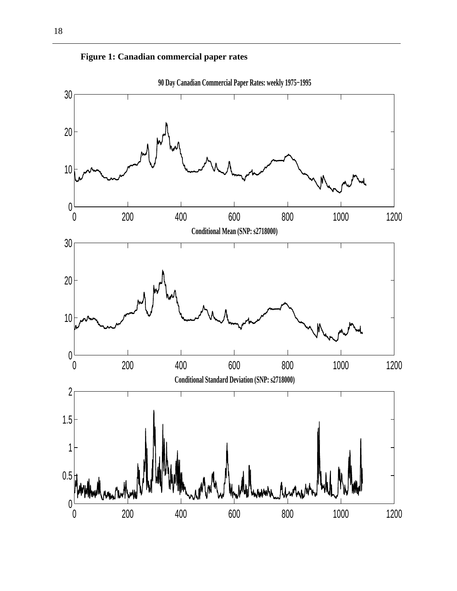



**90 Day Canadian Commercial Paper Rates: weekly 1975−1995**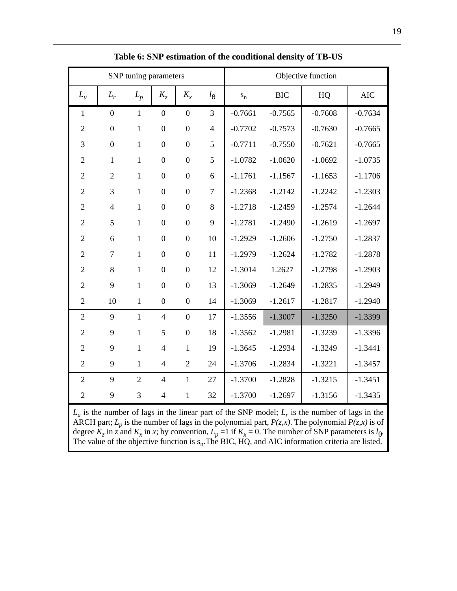| SNP tuning parameters |                  |                |                          |                  |                |           |            | Objective function |            |
|-----------------------|------------------|----------------|--------------------------|------------------|----------------|-----------|------------|--------------------|------------|
| $L_u$                 | $L_r$            | $L_p$          | $K_{7}$                  | $K_{x}$          | $l_{\theta}$   | $s_n$     | <b>BIC</b> | HQ                 | <b>AIC</b> |
| $\mathbf{1}$          | $\boldsymbol{0}$ | $\mathbf{1}$   | $\boldsymbol{0}$         | $\boldsymbol{0}$ | 3              | $-0.7661$ | $-0.7565$  | $-0.7608$          | $-0.7634$  |
| $\overline{2}$        | $\boldsymbol{0}$ | $\mathbf{1}$   | $\boldsymbol{0}$         | $\boldsymbol{0}$ | $\overline{4}$ | $-0.7702$ | $-0.7573$  | $-0.7630$          | $-0.7665$  |
| 3                     | $\boldsymbol{0}$ | $\mathbf{1}$   | $\boldsymbol{0}$         | $\overline{0}$   | 5              | $-0.7711$ | $-0.7550$  | $-0.7621$          | $-0.7665$  |
| $\overline{2}$        | $\mathbf{1}$     | $\mathbf{1}$   | $\overline{0}$           | $\overline{0}$   | 5              | $-1.0782$ | $-1.0620$  | $-1.0692$          | $-1.0735$  |
| $\overline{2}$        | $\overline{2}$   | $\mathbf{1}$   | $\boldsymbol{0}$         | $\boldsymbol{0}$ | 6              | $-1.1761$ | $-1.1567$  | $-1.1653$          | $-1.1706$  |
| $\overline{2}$        | 3                | $\mathbf{1}$   | $\boldsymbol{0}$         | $\boldsymbol{0}$ | $\tau$         | $-1.2368$ | $-1.2142$  | $-1.2242$          | $-1.2303$  |
| $\overline{2}$        | $\overline{4}$   | $\mathbf{1}$   | $\mathbf{0}$             | $\boldsymbol{0}$ | 8              | $-1.2718$ | $-1.2459$  | $-1.2574$          | $-1.2644$  |
| $\overline{2}$        | 5                | $\mathbf{1}$   | $\boldsymbol{0}$         | $\boldsymbol{0}$ | 9              | $-1.2781$ | $-1.2490$  | $-1.2619$          | $-1.2697$  |
| $\overline{2}$        | 6                | $\mathbf{1}$   | $\overline{0}$           | $\overline{0}$   | 10             | $-1.2929$ | $-1.2606$  | $-1.2750$          | $-1.2837$  |
| $\mathfrak{2}$        | 7                | $\mathbf{1}$   | $\boldsymbol{0}$         | $\boldsymbol{0}$ | 11             | $-1.2979$ | $-1.2624$  | $-1.2782$          | $-1.2878$  |
| $\overline{2}$        | 8                | $\mathbf{1}$   | $\boldsymbol{0}$         | $\boldsymbol{0}$ | 12             | $-1.3014$ | 1.2627     | $-1.2798$          | $-1.2903$  |
| $\overline{2}$        | 9                | $\mathbf{1}$   | $\boldsymbol{0}$         | $\boldsymbol{0}$ | 13             | $-1.3069$ | $-1.2649$  | $-1.2835$          | $-1.2949$  |
| $\overline{2}$        | 10               | $\mathbf{1}$   | $\overline{0}$           | $\overline{0}$   | 14             | $-1.3069$ | $-1.2617$  | $-1.2817$          | $-1.2940$  |
| $\overline{2}$        | 9                | $\mathbf{1}$   | $\overline{4}$           | $\overline{0}$   | 17             | $-1.3556$ | $-1.3007$  | $-1.3250$          | $-1.3399$  |
| $\overline{2}$        | 9                | $\mathbf{1}$   | 5                        | $\boldsymbol{0}$ | 18             | $-1.3562$ | $-1.2981$  | $-1.3239$          | $-1.3396$  |
| $\overline{2}$        | 9                | $\mathbf{1}$   | $\overline{4}$           | $\mathbf{1}$     | 19             | $-1.3645$ | $-1.2934$  | $-1.3249$          | $-1.3441$  |
| $\overline{2}$        | 9                | $\mathbf{1}$   | $\overline{4}$           | $\overline{2}$   | 24             | $-1.3706$ | $-1.2834$  | $-1.3221$          | $-1.3457$  |
| $\overline{2}$        | 9                | $\overline{2}$ | $\overline{4}$           | $\mathbf{1}$     | 27             | $-1.3700$ | $-1.2828$  | $-1.3215$          | $-1.3451$  |
| $\overline{2}$        | 9                | 3              | $\overline{\mathcal{A}}$ | 1                | 32             | $-1.3700$ | $-1.2697$  | $-1.3156$          | $-1.3435$  |

**Table 6: SNP estimation of the conditional density of TB-US**

 $L_u$  is the number of lags in the linear part of the SNP model;  $L_r$  is the number of lags in the ARCH part;  $L_p$  is the number of lags in the polynomial part,  $P(z, x)$ . The polynomial  $P(z, x)$  is of degree  $K_z$  in *z* and  $K_x$  in *x*; by convention,  $L_p = 1$  if  $K_x = 0$ . The number of SNP parameters is  $l_\theta$ . The value of the objective function is  $s_n$ . The BIC, HQ, and AIC information criteria are listed.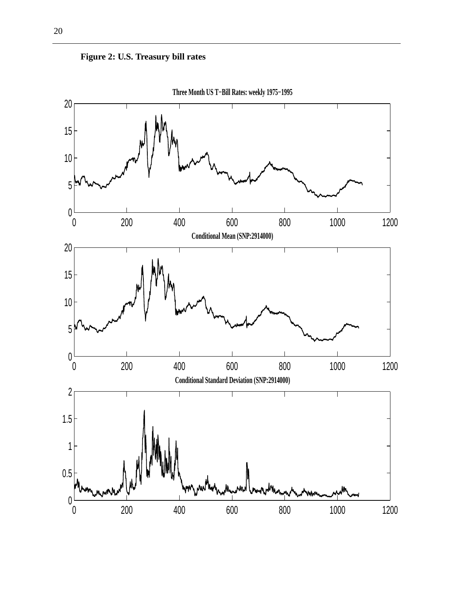

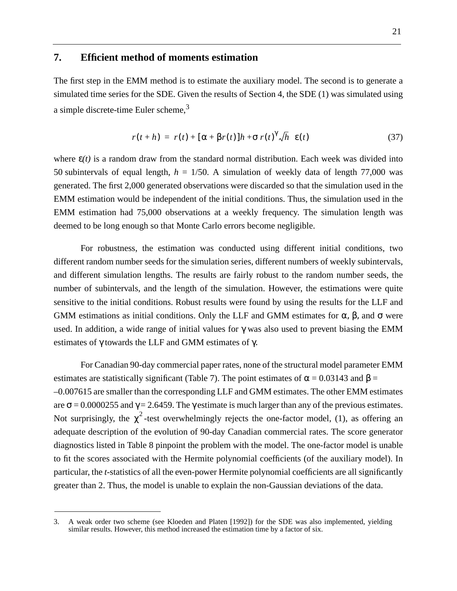#### **7. Efficient method of moments estimation**

The first step in the EMM method is to estimate the auxiliary model. The second is to generate a simulated time series for the SDE. Given the results of Section 4, the SDE (1) was simulated using a simple discrete-time Euler scheme, $3$ 

$$
r(t+h) = r(t) + [\alpha + \beta r(t)]h + \sigma r(t)^{\gamma} \sqrt{h} \ \varepsilon(t) \tag{37}
$$

where  $\varepsilon(t)$  is a random draw from the standard normal distribution. Each week was divided into 50 subintervals of equal length,  $h = 1/50$ . A simulation of weekly data of length 77,000 was generated. The first 2,000 generated observations were discarded so that the simulation used in the EMM estimation would be independent of the initial conditions. Thus, the simulation used in the EMM estimation had 75,000 observations at a weekly frequency. The simulation length was deemed to be long enough so that Monte Carlo errors become negligible.

For robustness, the estimation was conducted using different initial conditions, two different random number seeds for the simulation series, different numbers of weekly subintervals, and different simulation lengths. The results are fairly robust to the random number seeds, the number of subintervals, and the length of the simulation. However, the estimations were quite sensitive to the initial conditions. Robust results were found by using the results for the LLF and GMM estimations as initial conditions. Only the LLF and GMM estimates for  $\alpha$ ,  $\beta$ , and  $\sigma$  were used. In addition, a wide range of initial values for  $\gamma$  was also used to prevent biasing the EMM estimates of γ towards the LLF and GMM estimates of γ.

For Canadian 90-day commercial paper rates, none of the structural model parameter EMM estimates are statistically significant (Table 7). The point estimates of  $\alpha = 0.03143$  and  $\beta =$ –0.007615 are smaller than the corresponding LLF and GMM estimates. The other EMM estimates are  $\sigma$  = 0.0000255 and  $\gamma$  = 2.6459. The  $\gamma$  estimate is much larger than any of the previous estimates. Not surprisingly, the  $\chi^2$ -test overwhelmingly rejects the one-factor model, (1), as offering an adequate description of the evolution of 90-day Canadian commercial rates. The score generator diagnostics listed in Table 8 pinpoint the problem with the model. The one-factor model is unable to fit the scores associated with the Hermite polynomial coefficients (of the auxiliary model). In particular, the *t-*statistics of all the even-power Hermite polynomial coefficients are all significantly greater than 2. Thus, the model is unable to explain the non-Gaussian deviations of the data.

<sup>3.</sup> A weak order two scheme (see Kloeden and Platen [1992]) for the SDE was also implemented, yielding similar results. However, this method increased the estimation time by a factor of six.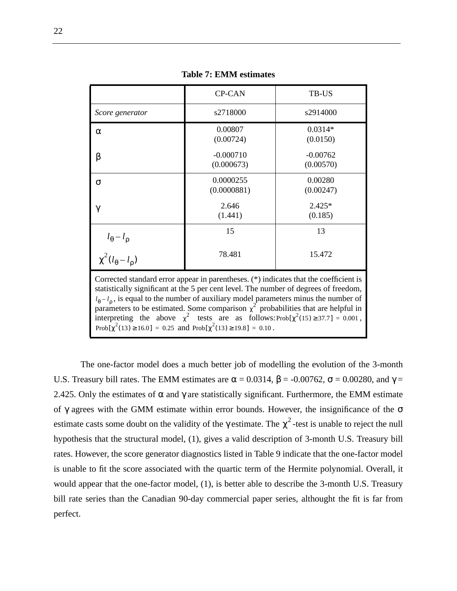|                                                                                                                                                                                                                                                                                                                                                                                                                                                                                                                                                                 | <b>CP-CAN</b>                                                                   | TB-US                   |  |  |  |  |
|-----------------------------------------------------------------------------------------------------------------------------------------------------------------------------------------------------------------------------------------------------------------------------------------------------------------------------------------------------------------------------------------------------------------------------------------------------------------------------------------------------------------------------------------------------------------|---------------------------------------------------------------------------------|-------------------------|--|--|--|--|
| Score generator                                                                                                                                                                                                                                                                                                                                                                                                                                                                                                                                                 | s2718000                                                                        | s2914000                |  |  |  |  |
| $\alpha$                                                                                                                                                                                                                                                                                                                                                                                                                                                                                                                                                        | 0.00807<br>(0.00724)                                                            | $0.0314*$<br>(0.0150)   |  |  |  |  |
| β                                                                                                                                                                                                                                                                                                                                                                                                                                                                                                                                                               | $-0.000710$<br>(0.000673)                                                       | $-0.00762$<br>(0.00570) |  |  |  |  |
| $\sigma$                                                                                                                                                                                                                                                                                                                                                                                                                                                                                                                                                        | 0.0000255<br>(0.0000881)                                                        | 0.00280<br>(0.00247)    |  |  |  |  |
| $\gamma$                                                                                                                                                                                                                                                                                                                                                                                                                                                                                                                                                        | 2.646<br>(1.441)                                                                | $2.425*$<br>(0.185)     |  |  |  |  |
|                                                                                                                                                                                                                                                                                                                                                                                                                                                                                                                                                                 | 15                                                                              | 13                      |  |  |  |  |
|                                                                                                                                                                                                                                                                                                                                                                                                                                                                                                                                                                 | $l_{\theta} - l_{\rho}$<br>$\chi^2 (l_{\theta} - l_{\rho})$<br>78.481<br>15.472 |                         |  |  |  |  |
| Corrected standard error appear in parentheses. (*) indicates that the coefficient is<br>statistically significant at the 5 per cent level. The number of degrees of freedom,<br>$l_{\theta} - l_{\rho}$ , is equal to the number of auxiliary model parameters minus the number of<br>parameters to be estimated. Some comparison $\chi^2$ probabilities that are helpful in<br>interpreting the above $\chi^2$ tests are as follows: Prob[ $\chi^2(15) \ge 37.7$ ] = 0.001,<br>Prob[ $\chi^2(13) \ge 16.0$ ] = 0.25 and Prob[ $\chi^2(13) \ge 19.8$ ] = 0.10. |                                                                                 |                         |  |  |  |  |

**Table 7: EMM estimates**

The one-factor model does a much better job of modelling the evolution of the 3-month U.S. Treasury bill rates. The EMM estimates are  $\alpha = 0.0314$ ,  $\beta = -0.00762$ ,  $\sigma = 0.00280$ , and  $\gamma =$ 2.425. Only the estimates of  $\alpha$  and  $\gamma$  are statistically significant. Furthermore, the EMM estimate of  $\gamma$  agrees with the GMM estimate within error bounds. However, the insignificance of the  $\sigma$ estimate casts some doubt on the validity of the  $\gamma$  estimate. The  $\chi^2$ -test is unable to reject the null hypothesis that the structural model, (1), gives a valid description of 3-month U.S. Treasury bill rates. However, the score generator diagnostics listed in Table 9 indicate that the one-factor model is unable to fit the score associated with the quartic term of the Hermite polynomial. Overall, it would appear that the one-factor model, (1), is better able to describe the 3-month U.S. Treasury bill rate series than the Canadian 90-day commercial paper series, althought the fit is far from perfect.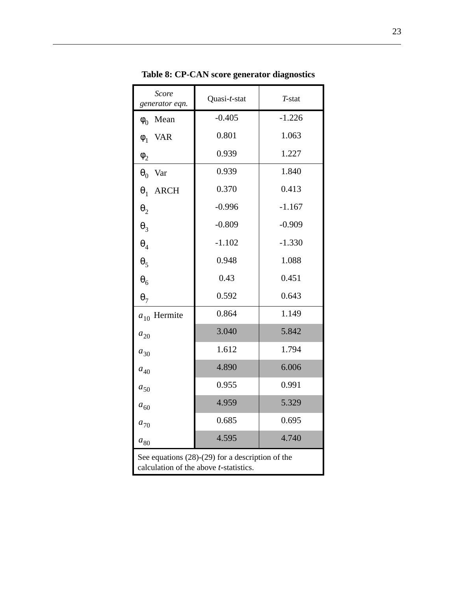| Score<br>generator eqn.   | Quasi-t-stat                                                                                 | T-stat   |
|---------------------------|----------------------------------------------------------------------------------------------|----------|
| Mean<br>$\phi_0$          | $-0.405$                                                                                     | $-1.226$ |
| <b>VAR</b><br>$\phi_1$    | 0.801                                                                                        | 1.063    |
| $\phi_2$                  | 0.939                                                                                        | 1.227    |
| $\theta_0$<br>Var         | 0.939                                                                                        | 1.840    |
| $\theta_1$<br><b>ARCH</b> | 0.370                                                                                        | 0.413    |
| $\theta_2$                | $-0.996$                                                                                     | $-1.167$ |
| $\theta_3$                | $-0.809$                                                                                     | $-0.909$ |
| $\pmb{\theta}_4$          | $-1.102$                                                                                     | $-1.330$ |
| $\theta_5$                | 0.948                                                                                        | 1.088    |
| $\theta_6$                | 0.43                                                                                         | 0.451    |
| $\theta_7$                | 0.592                                                                                        | 0.643    |
| Hermite<br>$a_{10}$       | 0.864                                                                                        | 1.149    |
| $a_{\rm 20}$              | 3.040                                                                                        | 5.842    |
| $a_{30}$                  | 1.612                                                                                        | 1.794    |
| $a_{40}$                  | 4.890                                                                                        | 6.006    |
| $a_{50}$                  | 0.955                                                                                        | 0.991    |
| $a_{60}$                  | 4.959                                                                                        | 5.329    |
| $a_{70}$                  | 0.685                                                                                        | 0.695    |
| $a_{\rm 80}$              | 4.595                                                                                        | 4.740    |
|                           | See equations $(28)-(29)$ for a description of the<br>calculation of the above t-statistics. |          |

**Table 8: CP-CAN score generator diagnostics**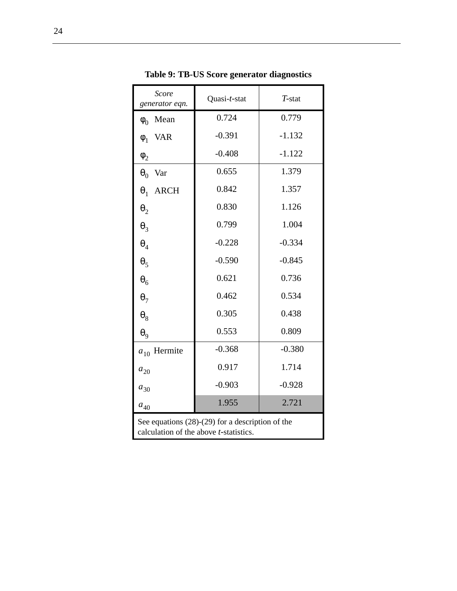| <b>Score</b><br>generator eqn.                                                                       | Quasi-t-stat | $T$ -stat |  |  |  |
|------------------------------------------------------------------------------------------------------|--------------|-----------|--|--|--|
| Mean<br>$\phi_0$                                                                                     | 0.724        | 0.779     |  |  |  |
| <b>VAR</b><br>$\phi_1$                                                                               | $-0.391$     | $-1.132$  |  |  |  |
| $\phi_2$                                                                                             | $-0.408$     | $-1.122$  |  |  |  |
| $\boldsymbol{\theta}_0$<br>Var                                                                       | 0.655        | 1.379     |  |  |  |
| $\theta_1$<br><b>ARCH</b>                                                                            | 0.842        | 1.357     |  |  |  |
| $\boldsymbol{\theta}_2$                                                                              | 0.830        | 1.126     |  |  |  |
| $\theta_3$                                                                                           | 0.799        | 1.004     |  |  |  |
| $\theta_4$                                                                                           | $-0.228$     | $-0.334$  |  |  |  |
| $\theta_5$                                                                                           | $-0.590$     | $-0.845$  |  |  |  |
| $\theta_6$                                                                                           | 0.621        | 0.736     |  |  |  |
| $\theta_7$                                                                                           | 0.462        | 0.534     |  |  |  |
| $\theta_8$                                                                                           | 0.305        | 0.438     |  |  |  |
| $\theta_9$                                                                                           | 0.553        | 0.809     |  |  |  |
| $a_{10}$ Hermite                                                                                     | $-0.368$     | $-0.380$  |  |  |  |
| $a_{20}$                                                                                             | 0.917        | 1.714     |  |  |  |
| $a_{30}$                                                                                             | $-0.903$     | $-0.928$  |  |  |  |
| $a_{40}$                                                                                             | 1.955        | 2.721     |  |  |  |
| See equations $(28)-(29)$ for a description of the<br>calculation of the above <i>t</i> -statistics. |              |           |  |  |  |

**Table 9: TB-US Score generator diagnostics**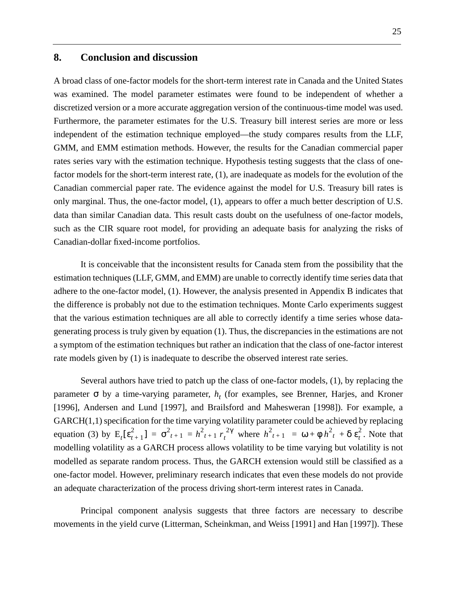### **8. Conclusion and discussion**

A broad class of one-factor models for the short-term interest rate in Canada and the United States was examined. The model parameter estimates were found to be independent of whether a discretized version or a more accurate aggregation version of the continuous-time model was used. Furthermore, the parameter estimates for the U.S. Treasury bill interest series are more or less independent of the estimation technique employed—the study compares results from the LLF, GMM, and EMM estimation methods. However, the results for the Canadian commercial paper rates series vary with the estimation technique. Hypothesis testing suggests that the class of onefactor models for the short-term interest rate, (1), are inadequate as models for the evolution of the Canadian commercial paper rate. The evidence against the model for U.S. Treasury bill rates is only marginal. Thus, the one-factor model, (1), appears to offer a much better description of U.S. data than similar Canadian data. This result casts doubt on the usefulness of one-factor models, such as the CIR square root model, for providing an adequate basis for analyzing the risks of Canadian-dollar fixed-income portfolios.

It is conceivable that the inconsistent results for Canada stem from the possibility that the estimation techniques (LLF, GMM, and EMM) are unable to correctly identify time series data that adhere to the one-factor model, (1). However, the analysis presented in Appendix B indicates that the difference is probably not due to the estimation techniques. Monte Carlo experiments suggest that the various estimation techniques are all able to correctly identify a time series whose datagenerating process is truly given by equation (1). Thus, the discrepancies in the estimations are not a symptom of the estimation techniques but rather an indication that the class of one-factor interest rate models given by (1) is inadequate to describe the observed interest rate series.

Several authors have tried to patch up the class of one-factor models, (1), by replacing the parameter  $\sigma$  by a time-varying parameter,  $h_t$  (for examples, see Brenner, Harjes, and Kroner [1996], Andersen and Lund [1997], and Brailsford and Mahesweran [1998]). For example, a GARCH(1,1) specification for the time varying volatility parameter could be achieved by replacing equation (3) by  $E_t[\epsilon_{t+1}^2] = \sigma_{t+1}^2 = h_{t+1}^2 r_t^{2\gamma}$  where  $h_{t+1}^2 = \omega + \phi h_t^2 + \delta \epsilon_t^2$ . Note that modelling volatility as a GARCH process allows volatility to be time varying but volatility is not modelled as separate random process. Thus, the GARCH extension would still be classified as a one-factor model. However, preliminary research indicates that even these models do not provide an adequate characterization of the process driving short-term interest rates in Canada.

Principal component analysis suggests that three factors are necessary to describe movements in the yield curve (Litterman, Scheinkman, and Weiss [1991] and Han [1997]). These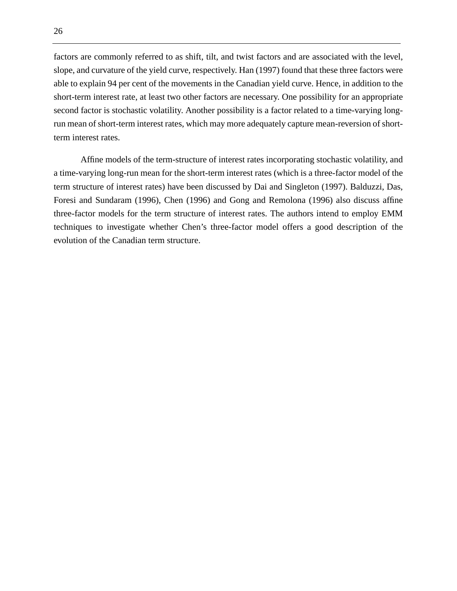factors are commonly referred to as shift, tilt, and twist factors and are associated with the level, slope, and curvature of the yield curve, respectively. Han (1997) found that these three factors were able to explain 94 per cent of the movements in the Canadian yield curve. Hence, in addition to the short-term interest rate, at least two other factors are necessary. One possibility for an appropriate second factor is stochastic volatility. Another possibility is a factor related to a time-varying longrun mean of short-term interest rates, which may more adequately capture mean-reversion of shortterm interest rates.

Affine models of the term-structure of interest rates incorporating stochastic volatility, and a time-varying long-run mean for the short-term interest rates (which is a three-factor model of the term structure of interest rates) have been discussed by Dai and Singleton (1997). Balduzzi, Das, Foresi and Sundaram (1996), Chen (1996) and Gong and Remolona (1996) also discuss affine three-factor models for the term structure of interest rates. The authors intend to employ EMM techniques to investigate whether Chen's three-factor model offers a good description of the evolution of the Canadian term structure.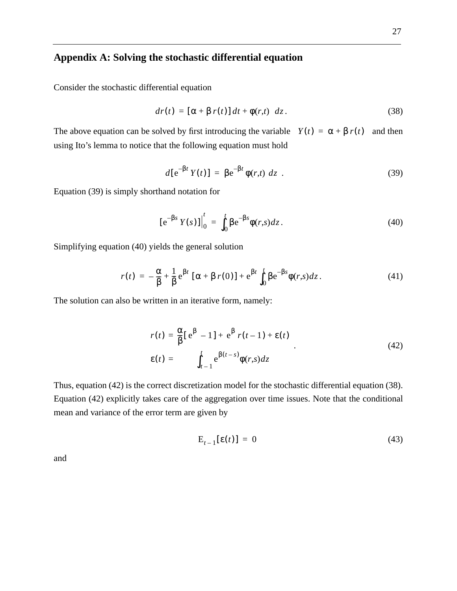## **Appendix A: Solving the stochastic differential equation**

Consider the stochastic differential equation

$$
dr(t) = [\alpha + \beta r(t)] dt + \phi(r,t) dz.
$$
 (38)

The above equation can be solved by first introducing the variable  $Y(t) = \alpha + \beta r(t)$  and then using Ito's lemma to notice that the following equation must hold

$$
d[e^{-\beta t} Y(t)] = \beta e^{-\beta t} \phi(r,t) dz . \qquad (39)
$$

Equation (39) is simply shorthand notation for

$$
[e^{-\beta s} Y(s)]\Big|_{0}^{t} = \int_{0}^{t} \beta e^{-\beta s} \phi(r,s) dz.
$$
 (40)

Simplifying equation (40) yields the general solution

$$
r(t) = -\frac{\alpha}{\beta} + \frac{1}{\beta} e^{\beta t} \left[ \alpha + \beta r(0) \right] + e^{\beta t} \int_0^t \beta e^{-\beta s} \phi(r, s) dz.
$$
 (41)

The solution can also be written in an iterative form, namely:

$$
r(t) = \frac{\alpha}{\beta} [e^{\beta} - 1] + e^{\beta} r(t-1) + \varepsilon(t)
$$
  
\n
$$
\varepsilon(t) = \int_{t-1}^{t} e^{\beta(t-s)} \phi(r,s) dz
$$
\n(42)

Thus, equation (42) is the correct discretization model for the stochastic differential equation (38). Equation (42) explicitly takes care of the aggregation over time issues. Note that the conditional mean and variance of the error term are given by

$$
\mathbf{E}_{t-1}[\mathbf{\varepsilon}(t)] = 0 \tag{43}
$$

and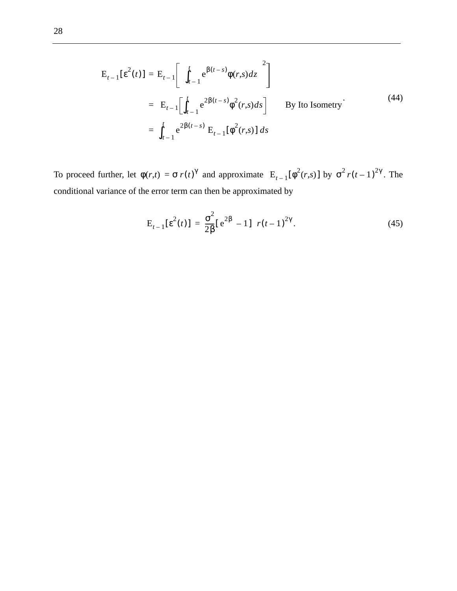$$
E_{t-1}[\varepsilon^{2}(t)] = E_{t-1}\left[\left\{\int_{t-1}^{t} e^{\beta(t-s)}\phi(r,s)dz\right\}^{2}\right]
$$
  
\n
$$
= E_{t-1}\left[\int_{t-1}^{t} e^{2\beta(t-s)}\phi^{2}(r,s)ds\right]
$$
 By Ito Isometry<sup>+</sup>  
\n
$$
= \int_{t-1}^{t} e^{2\beta(t-s)} E_{t-1}[\phi^{2}(r,s)] ds
$$
 (44)

To proceed further, let  $\phi(r,t) = \sigma r(t)^{\gamma}$  and approximate  $E_{t-1}[\phi^2(r,s)]$  by  $\sigma^2 r(t-1)^{2\gamma}$ . The conditional variance of the error term can then be approximated by

$$
E_{t-1}[\varepsilon^{2}(t)] = \frac{\sigma^{2}}{2\beta}[\varepsilon^{2\beta} - 1] r(t-1)^{2\gamma}.
$$
 (45)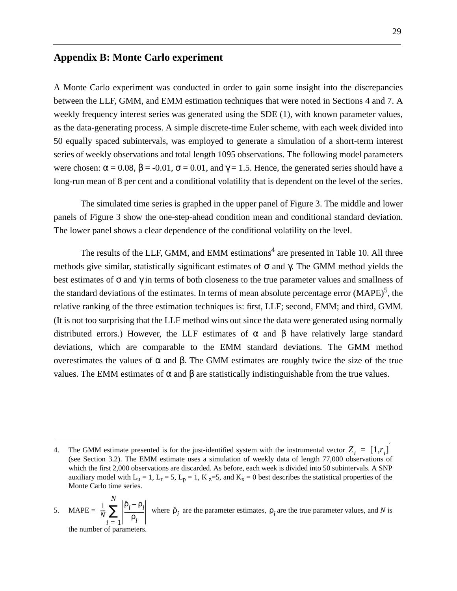## **Appendix B: Monte Carlo experiment**

A Monte Carlo experiment was conducted in order to gain some insight into the discrepancies between the LLF, GMM, and EMM estimation techniques that were noted in Sections 4 and 7. A weekly frequency interest series was generated using the SDE (1), with known parameter values, as the data-generating process. A simple discrete-time Euler scheme, with each week divided into 50 equally spaced subintervals, was employed to generate a simulation of a short-term interest series of weekly observations and total length 1095 observations. The following model parameters were chosen:  $\alpha = 0.08$ ,  $\beta = -0.01$ ,  $\sigma = 0.01$ , and  $\gamma = 1.5$ . Hence, the generated series should have a long-run mean of 8 per cent and a conditional volatility that is dependent on the level of the series.

The simulated time series is graphed in the upper panel of Figure 3. The middle and lower panels of Figure 3 show the one-step-ahead condition mean and conditional standard deviation. The lower panel shows a clear dependence of the conditional volatility on the level.

The results of the LLF, GMM, and EMM estimations<sup>4</sup> are presented in Table 10. All three methods give similar, statistically significant estimates of  $\sigma$  and  $\gamma$ . The GMM method yields the best estimates of  $\sigma$  and  $\gamma$  in terms of both closeness to the true parameter values and smallness of the standard deviations of the estimates. In terms of mean absolute percentage error  $(MAPE)^5$ , the relative ranking of the three estimation techniques is: first, LLF; second, EMM; and third, GMM. (It is not too surprising that the LLF method wins out since the data were generated using normally distributed errors.) However, the LLF estimates of  $\alpha$  and  $\beta$  have relatively large standard deviations, which are comparable to the EMM standard deviations. The GMM method overestimates the values of α and β. The GMM estimates are roughly twice the size of the true values. The EMM estimates of α and β are statistically indistinguishable from the true values.

<sup>4.</sup> The GMM estimate presented is for the just-identified system with the instrumental vector  $Z_t = [1, r_t]$ (see Section 3.2). The EMM estimate uses a simulation of weekly data of length 77,000 observations of which the first 2,000 observations are discarded. As before, each week is divided into 50 subintervals. A SNP auxiliary model with  $L_u = 1$ ,  $L_r = 5$ ,  $L_p = 1$ ,  $K_z = 5$ , and  $K_x = 0$  best describes the statistical properties of the Monte Carlo time series.

<sup>5.</sup> MAPE =  $\frac{1}{N} \sum_{i=1}^N \left| \frac{\rho_i - \rho_i}{\rho_i} \right|$  where  $\hat{\rho}_i$  are the parameter estimates,  $\rho_i$  are the true parameter values, and *N* is the number of parameters.  $\frac{1}{N}\sum_{i=0}^{N}\left|\frac{\hat{\rho}_{i}-\rho_{i}}{\rho_{i}}\right|$  $\frac{1}{\rho_i}$ *i* = 1 *N*  $\sum_{i} \left| \frac{p_i - p_i}{\rho_i} \right|$  where  $\hat{p}_i$  are the parameter estimates,  $p_i$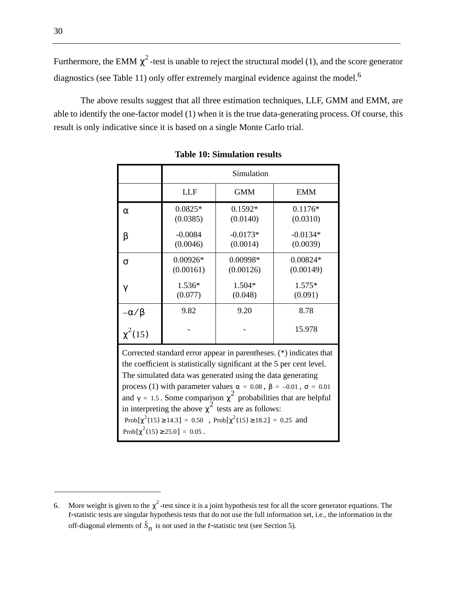Furthermore, the EMM  $\chi^2$ -test is unable to reject the structural model (1), and the score generator diagnostics (see Table 11) only offer extremely marginal evidence against the model.<sup>6</sup>

The above results suggest that all three estimation techniques, LLF, GMM and EMM, are able to identify the one-factor model (1) when it is the true data-generating process. Of course, this result is only indicative since it is based on a single Monte Carlo trial.

|                                                                                                                                                                                                                                                                                                                                                                                                                                                                                                                                                                           | Simulation              |                        |                         |  |  |  |  |
|---------------------------------------------------------------------------------------------------------------------------------------------------------------------------------------------------------------------------------------------------------------------------------------------------------------------------------------------------------------------------------------------------------------------------------------------------------------------------------------------------------------------------------------------------------------------------|-------------------------|------------------------|-------------------------|--|--|--|--|
|                                                                                                                                                                                                                                                                                                                                                                                                                                                                                                                                                                           | <b>LLF</b>              | <b>GMM</b>             | <b>EMM</b>              |  |  |  |  |
| $\alpha$                                                                                                                                                                                                                                                                                                                                                                                                                                                                                                                                                                  | $0.0825*$<br>(0.0385)   | $0.1592*$<br>(0.0140)  | $0.1176*$<br>(0.0310)   |  |  |  |  |
| β                                                                                                                                                                                                                                                                                                                                                                                                                                                                                                                                                                         | $-0.0084$<br>(0.0046)   | $-0.0173*$<br>(0.0014) | $-0.0134*$<br>(0.0039)  |  |  |  |  |
| $\sigma$                                                                                                                                                                                                                                                                                                                                                                                                                                                                                                                                                                  | $0.00926*$<br>(0.00161) | 0.00998*<br>(0.00126)  | $0.00824*$<br>(0.00149) |  |  |  |  |
| γ                                                                                                                                                                                                                                                                                                                                                                                                                                                                                                                                                                         | 1.536*<br>(0.077)       | $1.504*$<br>(0.048)    | $1.575*$<br>(0.091)     |  |  |  |  |
|                                                                                                                                                                                                                                                                                                                                                                                                                                                                                                                                                                           | 9.82                    | 9.20                   | 8.78                    |  |  |  |  |
| $-\alpha/\beta$<br>$\chi^2(15)$                                                                                                                                                                                                                                                                                                                                                                                                                                                                                                                                           |                         |                        | 15.978                  |  |  |  |  |
| Corrected standard error appear in parentheses. (*) indicates that<br>the coefficient is statistically significant at the 5 per cent level.<br>The simulated data was generated using the data generating<br>process (1) with parameter values $\alpha = 0.08$ , $\beta = -0.01$ , $\sigma = 0.01$<br>and $\gamma = 1.5$ . Some comparison $\chi^2$ probabilities that are helpful<br>in interpreting the above $\chi^2$ tests are as follows:<br>Prob[ $\chi^2(15) \ge 14.3$ ] = 0.50, Prob[ $\chi^2(15) \ge 18.2$ ] = 0.25 and<br>Prob[ $\chi^2(15) \ge 25.0$ ] = 0.05. |                         |                        |                         |  |  |  |  |

**Table 10: Simulation results**

<sup>6.</sup> More weight is given to the  $\chi^2$ -test since it is a joint hypothesis test for all the score generator equations. The *t-*statistic tests are singular hypothesis tests that do not use the full information set, i.e., the information in the off-diagonal elements of  $\hat{S}_n$  is not used in the *t*-statistic test (see Section 5).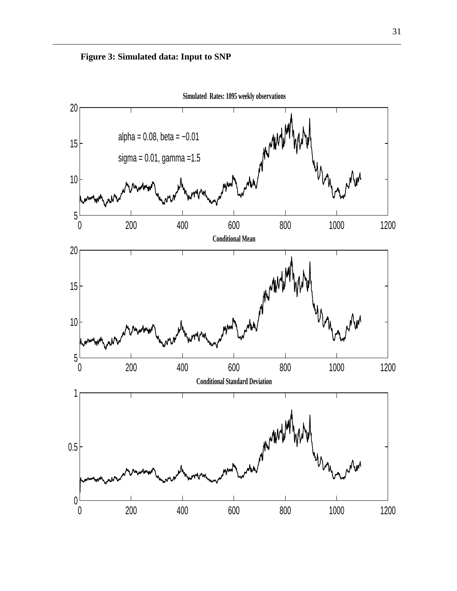

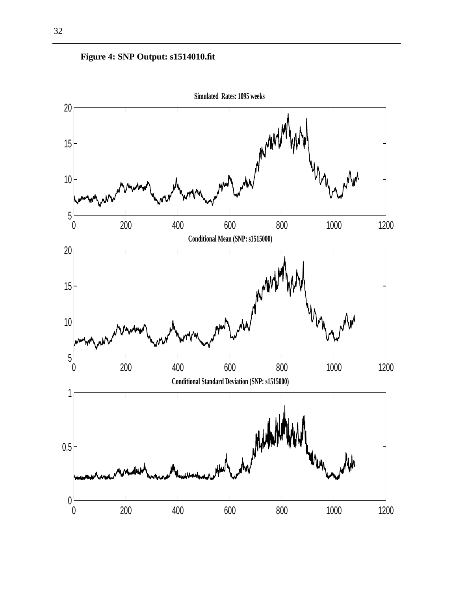

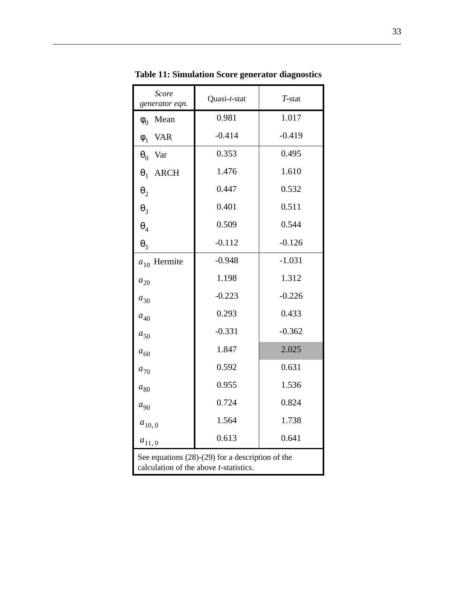| <b>Score</b><br>generator eqn.                                                               | Quasi-t-stat | $T$ -stat |  |
|----------------------------------------------------------------------------------------------|--------------|-----------|--|
| Mean<br>$\phi_0$                                                                             | 0.981        | 1.017     |  |
| <b>VAR</b><br>$\phi_1$                                                                       | $-0.414$     | $-0.419$  |  |
| $\theta_0$<br>Var                                                                            | 0.353        | 0.495     |  |
| <b>ARCH</b><br>$\theta_1$                                                                    | 1.476        | 1.610     |  |
| $\boldsymbol{\theta}_2$                                                                      | 0.447        | 0.532     |  |
| $\theta_3$                                                                                   | 0.401        | 0.511     |  |
| $\theta_4$                                                                                   | 0.509        | 0.544     |  |
| $\theta_5$                                                                                   | $-0.112$     | $-0.126$  |  |
| Hermite<br>$a_{10}$                                                                          | $-0.948$     | $-1.031$  |  |
| $a_{20}$                                                                                     | 1.198        | 1.312     |  |
| $a_{30}$                                                                                     | $-0.223$     | $-0.226$  |  |
| $a_{40}$                                                                                     | 0.293        | 0.433     |  |
| $a_{50}$                                                                                     | $-0.331$     | $-0.362$  |  |
| $a_{60}$                                                                                     | 1.847        | 2.025     |  |
| $a_{70}$                                                                                     | 0.592        | 0.631     |  |
| $a_{\rm 80}$                                                                                 | 0.955        | 1.536     |  |
| $a_{90}$                                                                                     | 0.724        | 0.824     |  |
| $a_{10,0}$                                                                                   | 1.564        | 1.738     |  |
| $a_{11,0}$                                                                                   | 0.613        | 0.641     |  |
| See equations $(28)-(29)$ for a description of the<br>calculation of the above t-statistics. |              |           |  |

**Table 11: Simulation Score generator diagnostics**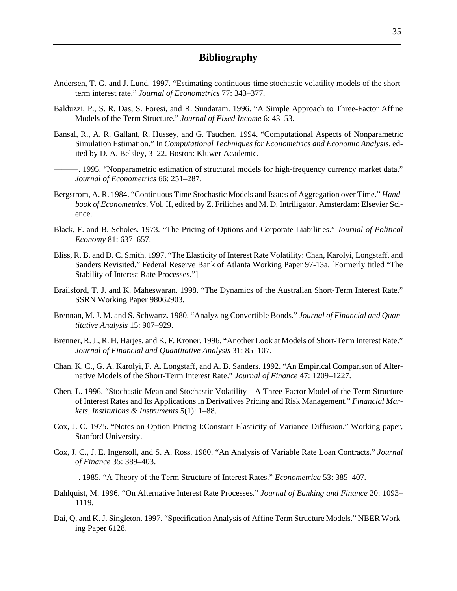### **Bibliography**

- Andersen, T. G. and J. Lund. 1997. "Estimating continuous-time stochastic volatility models of the shortterm interest rate." *Journal of Econometrics* 77: 343–377.
- Balduzzi, P., S. R. Das, S. Foresi, and R. Sundaram. 1996. "A Simple Approach to Three-Factor Affine Models of the Term Structure." *Journal of Fixed Income* 6: 43–53.
- Bansal, R., A. R. Gallant, R. Hussey, and G. Tauchen. 1994. "Computational Aspects of Nonparametric Simulation Estimation." In *Computational Techniques for Econometrics and Economic Analysis,* edited by D. A. Belsley, 3–22. Boston: Kluwer Academic.
- ———. 1995. "Nonparametric estimation of structural models for high-frequency currency market data." *Journal of Econometrics* 66: 251–287.
- Bergstrom, A. R. 1984. "Continuous Time Stochastic Models and Issues of Aggregation over Time." *Handbook of Econometrics,* Vol. II, edited by Z. Friliches and M. D. Intriligator. Amsterdam: Elsevier Science.
- Black, F. and B. Scholes. 1973. "The Pricing of Options and Corporate Liabilities." *Journal of Political Economy* 81: 637–657.
- Bliss, R. B. and D. C. Smith. 1997. "The Elasticity of Interest Rate Volatility: Chan, Karolyi, Longstaff, and Sanders Revisited." Federal Reserve Bank of Atlanta Working Paper 97-13a. [Formerly titled "The Stability of Interest Rate Processes."]
- Brailsford, T. J. and K. Maheswaran. 1998. "The Dynamics of the Australian Short-Term Interest Rate." SSRN Working Paper 98062903.
- Brennan, M. J. M. and S. Schwartz. 1980. "Analyzing Convertible Bonds." *Journal of Financial and Quantitative Analysis* 15: 907–929.
- Brenner, R. J., R. H. Harjes, and K. F. Kroner. 1996. "Another Look at Models of Short-Term Interest Rate." *Journal of Financial and Quantitative Analysis* 31: 85–107.
- Chan, K. C., G. A. Karolyi, F. A. Longstaff, and A. B. Sanders. 1992. "An Empirical Comparison of Alternative Models of the Short-Term Interest Rate." *Journal of Finance* 47: 1209–1227.
- Chen, L. 1996. "Stochastic Mean and Stochastic Volatility—A Three-Factor Model of the Term Structure of Interest Rates and Its Applications in Derivatives Pricing and Risk Management." *Financial Markets, Institutions & Instruments* 5(1): 1–88.
- Cox, J. C. 1975. "Notes on Option Pricing I:Constant Elasticity of Variance Diffusion." Working paper, Stanford University.
- Cox, J. C., J. E. Ingersoll, and S. A. Ross. 1980. "An Analysis of Variable Rate Loan Contracts." *Journal of Finance* 35: 389–403.
- ———. 1985. "A Theory of the Term Structure of Interest Rates." *Econometrica* 53: 385–407.
- Dahlquist, M. 1996. "On Alternative Interest Rate Processes." *Journal of Banking and Finance* 20: 1093– 1119.
- Dai, Q. and K. J. Singleton. 1997. "Specification Analysis of Affine Term Structure Models." NBER Working Paper 6128.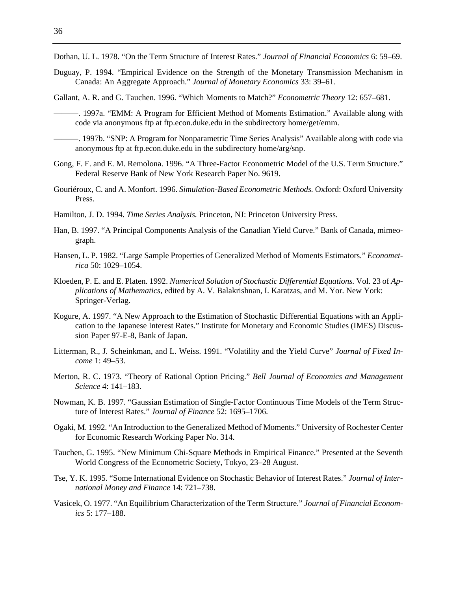Dothan, U. L. 1978. "On the Term Structure of Interest Rates." *Journal of Financial Economics* 6: 59–69.

Duguay, P. 1994. "Empirical Evidence on the Strength of the Monetary Transmission Mechanism in Canada: An Aggregate Approach." *Journal of Monetary Economics* 33: 39–61.

Gallant, A. R. and G. Tauchen. 1996. "Which Moments to Match?" *Econometric Theory* 12: 657–681.

- ———. 1997a. "EMM: A Program for Efficient Method of Moments Estimation." Available along with code via anonymous ftp at ftp.econ.duke.edu in the subdirectory home/get/emm.
- ———. 1997b. "SNP: A Program for Nonparametric Time Series Analysis" Available along with code via anonymous ftp at ftp.econ.duke.edu in the subdirectory home/arg/snp.
- Gong, F. F. and E. M. Remolona. 1996. "A Three-Factor Econometric Model of the U.S. Term Structure." Federal Reserve Bank of New York Research Paper No. 9619.
- Gouriéroux, C. and A. Monfort. 1996. *Simulation-Based Econometric Methods.* Oxford: Oxford University Press.
- Hamilton, J. D. 1994. *Time Series Analysis.* Princeton, NJ: Princeton University Press.
- Han, B. 1997. "A Principal Components Analysis of the Canadian Yield Curve." Bank of Canada, mimeograph.
- Hansen, L. P. 1982. "Large Sample Properties of Generalized Method of Moments Estimators." *Econometrica* 50: 1029–1054.
- Kloeden, P. E. and E. Platen. 1992. *Numerical Solution of Stochastic Differential Equations.* Vol. 23 of *Applications of Mathematics,* edited by A. V. Balakrishnan, I. Karatzas, and M. Yor. New York: Springer-Verlag.
- Kogure, A. 1997. "A New Approach to the Estimation of Stochastic Differential Equations with an Application to the Japanese Interest Rates." Institute for Monetary and Economic Studies (IMES) Discussion Paper 97-E-8, Bank of Japan.
- Litterman, R., J. Scheinkman, and L. Weiss. 1991. "Volatility and the Yield Curve" *Journal of Fixed Income* 1: 49–53.
- Merton, R. C. 1973. "Theory of Rational Option Pricing." *Bell Journal of Economics and Management Science* 4: 141–183.
- Nowman, K. B. 1997. "Gaussian Estimation of Single-Factor Continuous Time Models of the Term Structure of Interest Rates." *Journal of Finance* 52: 1695–1706.
- Ogaki, M. 1992. "An Introduction to the Generalized Method of Moments." University of Rochester Center for Economic Research Working Paper No. 314.
- Tauchen, G. 1995. "New Minimum Chi-Square Methods in Empirical Finance." Presented at the Seventh World Congress of the Econometric Society, Tokyo, 23–28 August.
- Tse, Y. K. 1995. "Some International Evidence on Stochastic Behavior of Interest Rates." *Journal of International Money and Finance* 14: 721–738.
- Vasicek, O. 1977. "An Equilibrium Characterization of the Term Structure." *Journal of Financial Economics* 5: 177–188.